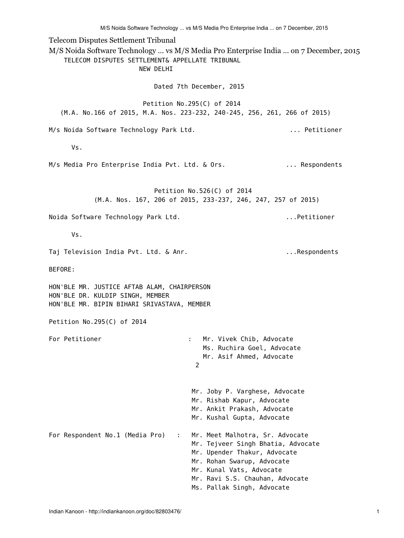M/S Noida Software Technology ... vs M/S Media Pro Enterprise India ... on 7 December, 2015

Telecom Disputes Settlement Tribunal M/S Noida Software Technology ... vs M/S Media Pro Enterprise India ... on 7 December, 2015 TELECOM DISPUTES SETTLEMENT& APPELLATE TRIBUNAL NEW DELHI Dated 7th December, 2015 Petition No.295(C) of 2014 (M.A. No.166 of 2015, M.A. Nos. 223-232, 240-245, 256, 261, 266 of 2015) M/s Noida Software Technology Park Ltd. . ... ... Petitioner Vs. M/s Media Pro Enterprise India Pvt. Ltd. & Ors. ... ... Respondents Petition No.526(C) of 2014 (M.A. Nos. 167, 206 of 2015, 233-237, 246, 247, 257 of 2015) Noida Software Technology Park Ltd. ...Petitioner Vs. Taj Television India Pvt. Ltd. & Anr. ...Respondents BEFORE: HON'BLE MR. JUSTICE AFTAB ALAM, CHAIRPERSON HON'BLE DR. KULDIP SINGH, MEMBER HON'BLE MR. BIPIN BIHARI SRIVASTAVA, MEMBER Petition No.295(C) of 2014 For Petitioner The Chiefer State Chiefer State Chiefer State Chiefer State Chiefer State Chiefer State Chiefe Ms. Ruchira Goel, Advocate Mr. Asif Ahmed, Advocate 2 Mr. Joby P. Varghese, Advocate Mr. Rishab Kapur, Advocate Mr. Ankit Prakash, Advocate Mr. Kushal Gupta, Advocate For Respondent No.1 (Media Pro) : Mr. Meet Malhotra, Sr. Advocate Mr. Tejveer Singh Bhatia, Advocate Mr. Upender Thakur, Advocate Mr. Rohan Swarup, Advocate Mr. Kunal Vats, Advocate Mr. Ravi S.S. Chauhan, Advocate Ms. Pallak Singh, Advocate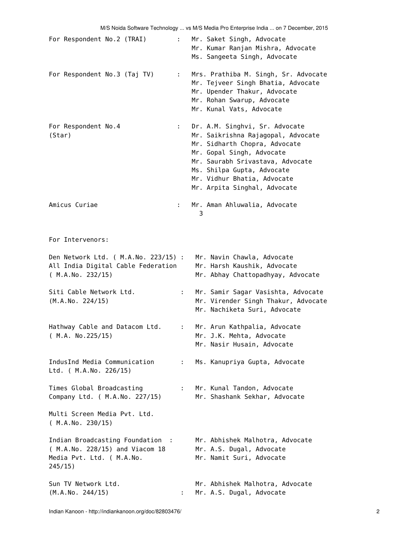| For Respondent No.2 (TRAI)                                                                                  | t in         | Mr. Saket Singh, Advocate<br>Mr. Kumar Ranjan Mishra, Advocate<br>Ms. Sangeeta Singh, Advocate                                                                                                                                                                      |
|-------------------------------------------------------------------------------------------------------------|--------------|---------------------------------------------------------------------------------------------------------------------------------------------------------------------------------------------------------------------------------------------------------------------|
| For Respondent No.3 (Taj TV)                                                                                | t in         | Mrs. Prathiba M. Singh, Sr. Advocate<br>Mr. Tejveer Singh Bhatia, Advocate<br>Mr. Upender Thakur, Advocate<br>Mr. Rohan Swarup, Advocate<br>Mr. Kunal Vats, Advocate                                                                                                |
| For Respondent No.4<br>(Star)                                                                               | t in         | Dr. A.M. Singhvi, Sr. Advocate<br>Mr. Saikrishna Rajagopal, Advocate<br>Mr. Sidharth Chopra, Advocate<br>Mr. Gopal Singh, Advocate<br>Mr. Saurabh Srivastava, Advocate<br>Ms. Shilpa Gupta, Advocate<br>Mr. Vidhur Bhatia, Advocate<br>Mr. Arpita Singhal, Advocate |
| Amicus Curiae                                                                                               | t i          | Mr. Aman Ahluwalia, Advocate<br>3                                                                                                                                                                                                                                   |
| For Intervenors:                                                                                            |              |                                                                                                                                                                                                                                                                     |
| Den Network Ltd. ( M.A.No. 223/15) :<br>All India Digital Cable Federation<br>(M.A.No. 232/15)              |              | Mr. Navin Chawla, Advocate<br>Mr. Harsh Kaushik, Advocate<br>Mr. Abhay Chattopadhyay, Advocate                                                                                                                                                                      |
| Siti Cable Network Ltd.<br>(M.A.No. 224/15)                                                                 | ÷.           | Mr. Samir Sagar Vasishta, Advocate<br>Mr. Virender Singh Thakur, Advocate<br>Mr. Nachiketa Suri, Advocate                                                                                                                                                           |
| Hathway Cable and Datacom Ltd.<br>( M.A. No.225/15)                                                         | $\mathbf{1}$ | Mr. Arun Kathpalia, Advocate<br>Mr. J.K. Mehta, Advocate<br>Mr. Nasir Husain, Advocate                                                                                                                                                                              |
| IndusInd Media Communication<br>Ltd. ( M.A.No. 226/15)                                                      | ÷.           | Ms. Kanupriya Gupta, Advocate                                                                                                                                                                                                                                       |
| Times Global Broadcasting<br>Company Ltd. ( M.A.No. 227/15)                                                 | $1 - 1$      | Mr. Kunal Tandon, Advocate<br>Mr. Shashank Sekhar, Advocate                                                                                                                                                                                                         |
| Multi Screen Media Pvt. Ltd.<br>(M.A.No. 230/15)                                                            |              |                                                                                                                                                                                                                                                                     |
| Indian Broadcasting Foundation :<br>( M.A.No. 228/15) and Viacom 18<br>Media Pvt. Ltd. ( M.A.No.<br>245/15) |              | Mr. Abhishek Malhotra, Advocate<br>Mr. A.S. Dugal, Advocate<br>Mr. Namit Suri, Advocate                                                                                                                                                                             |
| Sun TV Network Ltd.<br>(M.A.No. 244/15)                                                                     |              | Mr. Abhishek Malhotra, Advocate<br>Mr. A.S. Dugal, Advocate                                                                                                                                                                                                         |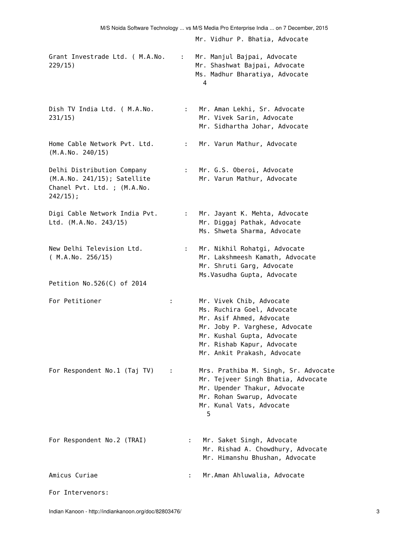| Grant Investrade Ltd. ( M.A.No.<br>229/15)                                                             |                    | : Mr. Manjul Bajpai, Advocate<br>Mr. Shashwat Bajpai, Advocate<br>Ms. Madhur Bharatiya, Advocate<br>4                                                                                                           |
|--------------------------------------------------------------------------------------------------------|--------------------|-----------------------------------------------------------------------------------------------------------------------------------------------------------------------------------------------------------------|
| Dish TV India Ltd. ( M.A.No.<br>231/15)                                                                | t in               | Mr. Aman Lekhi, Sr. Advocate<br>Mr. Vivek Sarin, Advocate<br>Mr. Sidhartha Johar, Advocate                                                                                                                      |
| Home Cable Network Pvt. Ltd.<br>(M.A.No. 240/15)                                                       | $\mathbb{R}^{n+1}$ | Mr. Varun Mathur, Advocate                                                                                                                                                                                      |
| Delhi Distribution Company<br>(M.A.No. 241/15); Satellite<br>Chanel Pvt. Ltd. ; (M.A.No.<br>$242/15$ ; |                    | : Mr. G.S. Oberoi, Advocate<br>Mr. Varun Mathur, Advocate                                                                                                                                                       |
| Digi Cable Network India Pvt.<br>Ltd. (M.A.No. 243/15)                                                 | $\mathbf{L}$       | Mr. Jayant K. Mehta, Advocate<br>Mr. Diggaj Pathak, Advocate<br>Ms. Shweta Sharma, Advocate                                                                                                                     |
| New Delhi Television Ltd.<br>(M.A.No. 256/15)                                                          | t.                 | Mr. Nikhil Rohatgi, Advocate<br>Mr. Lakshmeesh Kamath, Advocate<br>Mr. Shruti Garg, Advocate                                                                                                                    |
| Petition No.526(C) of 2014                                                                             |                    | Ms. Vasudha Gupta, Advocate                                                                                                                                                                                     |
| For Petitioner                                                                                         | ÷                  | Mr. Vivek Chib, Advocate<br>Ms. Ruchira Goel, Advocate<br>Mr. Asif Ahmed, Advocate<br>Mr. Joby P. Varghese, Advocate<br>Mr. Kushal Gupta, Advocate<br>Mr. Rishab Kapur, Advocate<br>Mr. Ankit Prakash, Advocate |
| For Respondent No.1 (Taj TV)                                                                           | ÷                  | Mrs. Prathiba M. Singh, Sr. Advocate<br>Mr. Tejveer Singh Bhatia, Advocate<br>Mr. Upender Thakur, Advocate<br>Mr. Rohan Swarup, Advocate<br>Mr. Kunal Vats, Advocate<br>5                                       |
| For Respondent No.2 (TRAI)                                                                             |                    | Mr. Saket Singh, Advocate<br>Mr. Rishad A. Chowdhury, Advocate<br>Mr. Himanshu Bhushan, Advocate                                                                                                                |
| Amicus Curiae                                                                                          |                    | Mr.Aman Ahluwalia, Advocate                                                                                                                                                                                     |
| For Intervenors:                                                                                       |                    |                                                                                                                                                                                                                 |

Mr. Vidhur P. Bhatia, Advocate

M/S Noida Software Technology ... vs M/S Media Pro Enterprise India ... on 7 December, 2015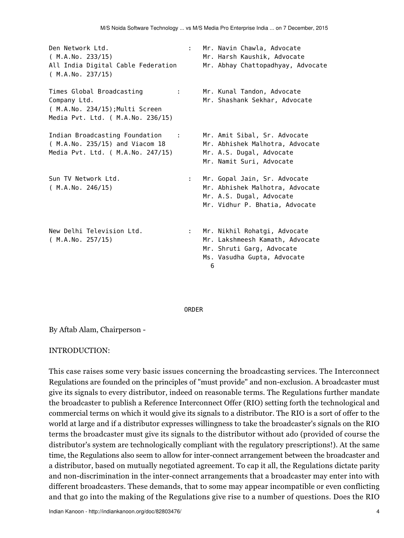| Den Network Ltd.<br>(M.A.No. 233/15)<br>All India Digital Cable Federation<br>(M.A.No. 237/15)                          | ÷. | Mr. Navin Chawla, Advocate<br>Mr. Harsh Kaushik, Advocate<br>Mr. Abhay Chattopadhyay, Advocate                                   |
|-------------------------------------------------------------------------------------------------------------------------|----|----------------------------------------------------------------------------------------------------------------------------------|
| Times Global Broadcasting<br>÷.<br>Company Ltd.<br>( M.A.No. 234/15); Multi Screen<br>Media Pvt. Ltd. ( M.A.No. 236/15) |    | Mr. Kunal Tandon, Advocate<br>Mr. Shashank Sekhar, Advocate                                                                      |
| Indian Broadcasting Foundation<br>$\sim$ 1<br>( M.A.No. 235/15) and Viacom 18<br>Media Pvt. Ltd. ( M.A.No. 247/15)      |    | Mr. Amit Sibal, Sr. Advocate<br>Mr. Abhishek Malhotra, Advocate<br>Mr. A.S. Dugal, Advocate<br>Mr. Namit Suri, Advocate          |
| Sun TV Network Ltd.<br>(M.A.No. 246/15)                                                                                 | ÷. | Mr. Gopal Jain, Sr. Advocate<br>Mr. Abhishek Malhotra, Advocate<br>Mr. A.S. Dugal, Advocate<br>Mr. Vidhur P. Bhatia, Advocate    |
| New Delhi Television Ltd.<br>(M.A.No. 257/15)                                                                           | ÷. | Mr. Nikhil Rohatgi, Advocate<br>Mr. Lakshmeesh Kamath, Advocate<br>Mr. Shruti Garg, Advocate<br>Ms. Vasudha Gupta, Advocate<br>6 |

#### ORDER

By Aftab Alam, Chairperson -

#### INTRODUCTION:

This case raises some very basic issues concerning the broadcasting services. The Interconnect Regulations are founded on the principles of "must provide" and non-exclusion. A broadcaster must give its signals to every distributor, indeed on reasonable terms. The Regulations further mandate the broadcaster to publish a Reference Interconnect Offer (RIO) setting forth the technological and commercial terms on which it would give its signals to a distributor. The RIO is a sort of offer to the world at large and if a distributor expresses willingness to take the broadcaster's signals on the RIO terms the broadcaster must give its signals to the distributor without ado (provided of course the distributor's system are technologically compliant with the regulatory prescriptions!). At the same time, the Regulations also seem to allow for inter-connect arrangement between the broadcaster and a distributor, based on mutually negotiated agreement. To cap it all, the Regulations dictate parity and non-discrimination in the inter-connect arrangements that a broadcaster may enter into with different broadcasters. These demands, that to some may appear incompatible or even conflicting and that go into the making of the Regulations give rise to a number of questions. Does the RIO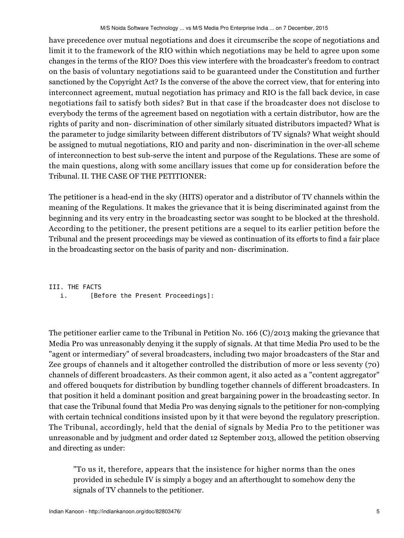have precedence over mutual negotiations and does it circumscribe the scope of negotiations and limit it to the framework of the RIO within which negotiations may be held to agree upon some changes in the terms of the RIO? Does this view interfere with the broadcaster's freedom to contract on the basis of voluntary negotiations said to be guaranteed under the Constitution and further sanctioned by the Copyright Act? Is the converse of the above the correct view, that for entering into interconnect agreement, mutual negotiation has primacy and RIO is the fall back device, in case negotiations fail to satisfy both sides? But in that case if the broadcaster does not disclose to everybody the terms of the agreement based on negotiation with a certain distributor, how are the rights of parity and non- discrimination of other similarly situated distributors impacted? What is the parameter to judge similarity between different distributors of TV signals? What weight should be assigned to mutual negotiations, RIO and parity and non- discrimination in the over-all scheme of interconnection to best sub-serve the intent and purpose of the Regulations. These are some of the main questions, along with some ancillary issues that come up for consideration before the Tribunal. II. THE CASE OF THE PETITIONER:

The petitioner is a head-end in the sky (HITS) operator and a distributor of TV channels within the meaning of the Regulations. It makes the grievance that it is being discriminated against from the beginning and its very entry in the broadcasting sector was sought to be blocked at the threshold. According to the petitioner, the present petitions are a sequel to its earlier petition before the Tribunal and the present proceedings may be viewed as continuation of its efforts to find a fair place in the broadcasting sector on the basis of parity and non- discrimination.

III. THE FACTS i. [Before the Present Proceedings]:

The petitioner earlier came to the Tribunal in Petition No. 166 (C)/2013 making the grievance that Media Pro was unreasonably denying it the supply of signals. At that time Media Pro used to be the "agent or intermediary" of several broadcasters, including two major broadcasters of the Star and Zee groups of channels and it altogether controlled the distribution of more or less seventy (70) channels of different broadcasters. As their common agent, it also acted as a "content aggregator" and offered bouquets for distribution by bundling together channels of different broadcasters. In that position it held a dominant position and great bargaining power in the broadcasting sector. In that case the Tribunal found that Media Pro was denying signals to the petitioner for non-complying with certain technical conditions insisted upon by it that were beyond the regulatory prescription. The Tribunal, accordingly, held that the denial of signals by Media Pro to the petitioner was unreasonable and by judgment and order dated 12 September 2013, allowed the petition observing and directing as under:

"To us it, therefore, appears that the insistence for higher norms than the ones provided in schedule IV is simply a bogey and an afterthought to somehow deny the signals of TV channels to the petitioner.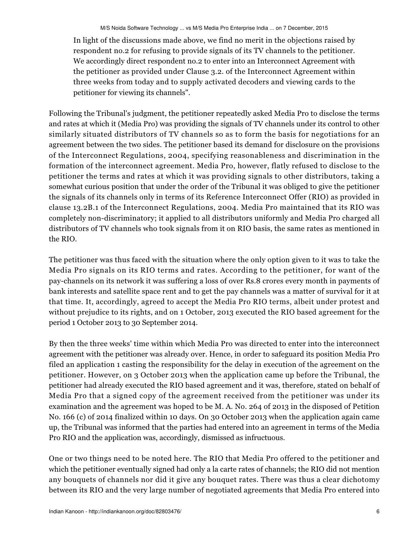In light of the discussions made above, we find no merit in the objections raised by respondent no.2 for refusing to provide signals of its TV channels to the petitioner. We accordingly direct respondent no.2 to enter into an Interconnect Agreement with the petitioner as provided under Clause 3.2. of the Interconnect Agreement within three weeks from today and to supply activated decoders and viewing cards to the petitioner for viewing its channels".

Following the Tribunal's judgment, the petitioner repeatedly asked Media Pro to disclose the terms and rates at which it (Media Pro) was providing the signals of TV channels under its control to other similarly situated distributors of TV channels so as to form the basis for negotiations for an agreement between the two sides. The petitioner based its demand for disclosure on the provisions of the Interconnect Regulations, 2004, specifying reasonableness and discrimination in the formation of the interconnect agreement. Media Pro, however, flatly refused to disclose to the petitioner the terms and rates at which it was providing signals to other distributors, taking a somewhat curious position that under the order of the Tribunal it was obliged to give the petitioner the signals of its channels only in terms of its Reference Interconnect Offer (RIO) as provided in clause 13.2B.1 of the Interconnect Regulations, 2004. Media Pro maintained that its RIO was completely non-discriminatory; it applied to all distributors uniformly and Media Pro charged all distributors of TV channels who took signals from it on RIO basis, the same rates as mentioned in the RIO.

The petitioner was thus faced with the situation where the only option given to it was to take the Media Pro signals on its RIO terms and rates. According to the petitioner, for want of the pay-channels on its network it was suffering a loss of over Rs.8 crores every month in payments of bank interests and satellite space rent and to get the pay channels was a matter of survival for it at that time. It, accordingly, agreed to accept the Media Pro RIO terms, albeit under protest and without prejudice to its rights, and on 1 October, 2013 executed the RIO based agreement for the period 1 October 2013 to 30 September 2014.

By then the three weeks' time within which Media Pro was directed to enter into the interconnect agreement with the petitioner was already over. Hence, in order to safeguard its position Media Pro filed an application 1 casting the responsibility for the delay in execution of the agreement on the petitioner. However, on 3 October 2013 when the application came up before the Tribunal, the petitioner had already executed the RIO based agreement and it was, therefore, stated on behalf of Media Pro that a signed copy of the agreement received from the petitioner was under its examination and the agreement was hoped to be M. A. No. 264 of 2013 in the disposed of Petition No. 166 (c) of 2014 finalized within 10 days. On 30 October 2013 when the application again came up, the Tribunal was informed that the parties had entered into an agreement in terms of the Media Pro RIO and the application was, accordingly, dismissed as infructuous.

One or two things need to be noted here. The RIO that Media Pro offered to the petitioner and which the petitioner eventually signed had only a la carte rates of channels; the RIO did not mention any bouquets of channels nor did it give any bouquet rates. There was thus a clear dichotomy between its RIO and the very large number of negotiated agreements that Media Pro entered into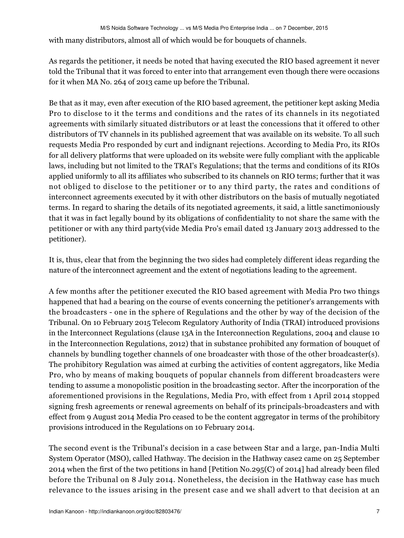with many distributors, almost all of which would be for bouquets of channels.

As regards the petitioner, it needs be noted that having executed the RIO based agreement it never told the Tribunal that it was forced to enter into that arrangement even though there were occasions for it when MA No. 264 of 2013 came up before the Tribunal.

Be that as it may, even after execution of the RIO based agreement, the petitioner kept asking Media Pro to disclose to it the terms and conditions and the rates of its channels in its negotiated agreements with similarly situated distributors or at least the concessions that it offered to other distributors of TV channels in its published agreement that was available on its website. To all such requests Media Pro responded by curt and indignant rejections. According to Media Pro, its RIOs for all delivery platforms that were uploaded on its website were fully compliant with the applicable laws, including but not limited to the TRAI's Regulations; that the terms and conditions of its RIOs applied uniformly to all its affiliates who subscribed to its channels on RIO terms; further that it was not obliged to disclose to the petitioner or to any third party, the rates and conditions of interconnect agreements executed by it with other distributors on the basis of mutually negotiated terms. In regard to sharing the details of its negotiated agreements, it said, a little sanctimoniously that it was in fact legally bound by its obligations of confidentiality to not share the same with the petitioner or with any third party(vide Media Pro's email dated 13 January 2013 addressed to the petitioner).

It is, thus, clear that from the beginning the two sides had completely different ideas regarding the nature of the interconnect agreement and the extent of negotiations leading to the agreement.

A few months after the petitioner executed the RIO based agreement with Media Pro two things happened that had a bearing on the course of events concerning the petitioner's arrangements with the broadcasters - one in the sphere of Regulations and the other by way of the decision of the Tribunal. On 10 February 2015 Telecom Regulatory Authority of India (TRAI) introduced provisions in the Interconnect Regulations (clause 13A in the Interconnection Regulations, 2004 and clause 10 in the Interconnection Regulations, 2012) that in substance prohibited any formation of bouquet of channels by bundling together channels of one broadcaster with those of the other broadcaster(s). The prohibitory Regulation was aimed at curbing the activities of content aggregators, like Media Pro, who by means of making bouquets of popular channels from different broadcasters were tending to assume a monopolistic position in the broadcasting sector. After the incorporation of the aforementioned provisions in the Regulations, Media Pro, with effect from 1 April 2014 stopped signing fresh agreements or renewal agreements on behalf of its principals-broadcasters and with effect from 9 August 2014 Media Pro ceased to be the content aggregator in terms of the prohibitory provisions introduced in the Regulations on 10 February 2014.

The second event is the Tribunal's decision in a case between Star and a large, pan-India Multi System Operator (MSO), called Hathway. The decision in the Hathway case2 came on 25 September 2014 when the first of the two petitions in hand [Petition No.295(C) of 2014] had already been filed before the Tribunal on 8 July 2014. Nonetheless, the decision in the Hathway case has much relevance to the issues arising in the present case and we shall advert to that decision at an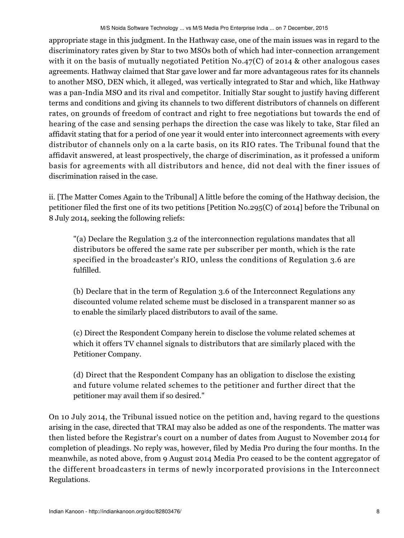appropriate stage in this judgment. In the Hathway case, one of the main issues was in regard to the discriminatory rates given by Star to two MSOs both of which had inter-connection arrangement with it on the basis of mutually negotiated Petition  $No.47(C)$  of 2014 & other analogous cases agreements. Hathway claimed that Star gave lower and far more advantageous rates for its channels to another MSO, DEN which, it alleged, was vertically integrated to Star and which, like Hathway was a pan-India MSO and its rival and competitor. Initially Star sought to justify having different terms and conditions and giving its channels to two different distributors of channels on different rates, on grounds of freedom of contract and right to free negotiations but towards the end of hearing of the case and sensing perhaps the direction the case was likely to take, Star filed an affidavit stating that for a period of one year it would enter into interconnect agreements with every distributor of channels only on a la carte basis, on its RIO rates. The Tribunal found that the affidavit answered, at least prospectively, the charge of discrimination, as it professed a uniform basis for agreements with all distributors and hence, did not deal with the finer issues of discrimination raised in the case.

ii. [The Matter Comes Again to the Tribunal] A little before the coming of the Hathway decision, the petitioner filed the first one of its two petitions [Petition No.295(C) of 2014] before the Tribunal on 8 July 2014, seeking the following reliefs:

"(a) Declare the Regulation 3.2 of the interconnection regulations mandates that all distributors be offered the same rate per subscriber per month, which is the rate specified in the broadcaster's RIO, unless the conditions of Regulation 3.6 are fulfilled.

(b) Declare that in the term of Regulation 3.6 of the Interconnect Regulations any discounted volume related scheme must be disclosed in a transparent manner so as to enable the similarly placed distributors to avail of the same.

(c) Direct the Respondent Company herein to disclose the volume related schemes at which it offers TV channel signals to distributors that are similarly placed with the Petitioner Company.

(d) Direct that the Respondent Company has an obligation to disclose the existing and future volume related schemes to the petitioner and further direct that the petitioner may avail them if so desired."

On 10 July 2014, the Tribunal issued notice on the petition and, having regard to the questions arising in the case, directed that TRAI may also be added as one of the respondents. The matter was then listed before the Registrar's court on a number of dates from August to November 2014 for completion of pleadings. No reply was, however, filed by Media Pro during the four months. In the meanwhile, as noted above, from 9 August 2014 Media Pro ceased to be the content aggregator of the different broadcasters in terms of newly incorporated provisions in the Interconnect Regulations.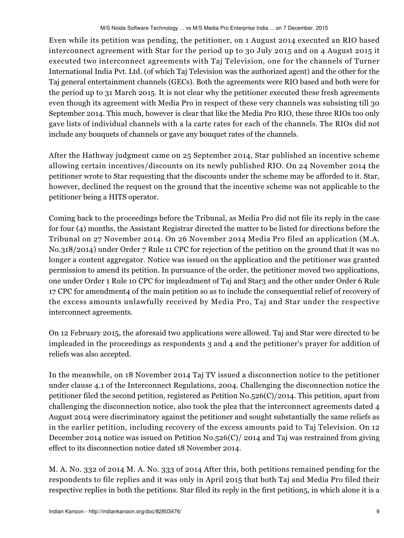Even while its petition was pending, the petitioner, on 1 August 2014 executed an RIO based interconnect agreement with Star for the period up to 30 July 2015 and on 4 August 2015 it executed two interconnect agreements with Taj Television, one for the channels of Turner International India Pvt. Ltd. (of which Taj Television was the authorized agent) and the other for the Taj general entertainment channels (GECs). Both the agreements were RIO based and both were for the period up to 31 March 2015. It is not clear why the petitioner executed these fresh agreements even though its agreement with Media Pro in respect of these very channels was subsisting till 30 September 2014. This much, however is clear that like the Media Pro RIO, these three RIOs too only gave lists of individual channels with a la carte rates for each of the channels. The RIOs did not include any bouquets of channels or gave any bouquet rates of the channels.

After the Hathway judgment came on 25 September 2014, Star published an incentive scheme allowing certain incentives/discounts on its newly published RIO. On 24 November 2014 the petitioner wrote to Star requesting that the discounts under the scheme may be afforded to it. Star, however, declined the request on the ground that the incentive scheme was not applicable to the petitioner being a HITS operator.

Coming back to the proceedings before the Tribunal, as Media Pro did not file its reply in the case for four (4) months, the Assistant Registrar directed the matter to be listed for directions before the Tribunal on 27 November 2014. On 26 November 2014 Media Pro filed an application (M.A. No.318/2014) under Order 7 Rule 11 CPC for rejection of the petition on the ground that it was no longer a content aggregator. Notice was issued on the application and the petitioner was granted permission to amend its petition. In pursuance of the order, the petitioner moved two applications, one under Order 1 Rule 10 CPC for impleadment of Taj and Star3 and the other under Order 6 Rule 17 CPC for amendment4 of the main petition so as to include the consequential relief of recovery of the excess amounts unlawfully received by Media Pro, Taj and Star under the respective interconnect agreements.

On 12 February 2015, the aforesaid two applications were allowed. Taj and Star were directed to be impleaded in the proceedings as respondents 3 and 4 and the petitioner's prayer for addition of reliefs was also accepted.

In the meanwhile, on 18 November 2014 Taj TV issued a disconnection notice to the petitioner under clause 4.1 of the Interconnect Regulations, 2004. Challenging the disconnection notice the petitioner filed the second petition, registered as Petition No.526(C)/2014. This petition, apart from challenging the disconnection notice, also took the plea that the interconnect agreements dated 4 August 2014 were discriminatory against the petitioner and sought substantially the same reliefs as in the earlier petition, including recovery of the excess amounts paid to Taj Television. On 12 December 2014 notice was issued on Petition No.526(C)/ 2014 and Taj was restrained from giving effect to its disconnection notice dated 18 November 2014.

M. A. No. 332 of 2014 M. A. No. 333 of 2014 After this, both petitions remained pending for the respondents to file replies and it was only in April 2015 that both Taj and Media Pro filed their respective replies in both the petitions. Star filed its reply in the first petition5, in which alone it is a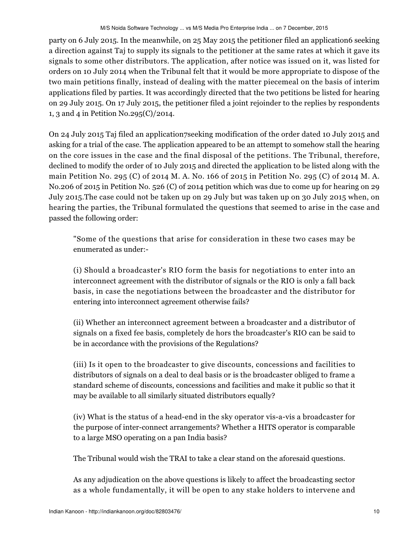party on 6 July 2015. In the meanwhile, on 25 May 2015 the petitioner filed an application6 seeking a direction against Taj to supply its signals to the petitioner at the same rates at which it gave its signals to some other distributors. The application, after notice was issued on it, was listed for orders on 10 July 2014 when the Tribunal felt that it would be more appropriate to dispose of the two main petitions finally, instead of dealing with the matter piecemeal on the basis of interim applications filed by parties. It was accordingly directed that the two petitions be listed for hearing on 29 July 2015. On 17 July 2015, the petitioner filed a joint rejoinder to the replies by respondents 1, 3 and 4 in Petition No.295(C)/2014.

On 24 July 2015 Taj filed an application7seeking modification of the order dated 10 July 2015 and asking for a trial of the case. The application appeared to be an attempt to somehow stall the hearing on the core issues in the case and the final disposal of the petitions. The Tribunal, therefore, declined to modify the order of 10 July 2015 and directed the application to be listed along with the main Petition No. 295 (C) of 2014 M. A. No. 166 of 2015 in Petition No. 295 (C) of 2014 M. A. No.206 of 2015 in Petition No. 526 (C) of 2014 petition which was due to come up for hearing on 29 July 2015.The case could not be taken up on 29 July but was taken up on 30 July 2015 when, on hearing the parties, the Tribunal formulated the questions that seemed to arise in the case and passed the following order:

"Some of the questions that arise for consideration in these two cases may be enumerated as under:-

(i) Should a broadcaster's RIO form the basis for negotiations to enter into an interconnect agreement with the distributor of signals or the RIO is only a fall back basis, in case the negotiations between the broadcaster and the distributor for entering into interconnect agreement otherwise fails?

(ii) Whether an interconnect agreement between a broadcaster and a distributor of signals on a fixed fee basis, completely de hors the broadcaster's RIO can be said to be in accordance with the provisions of the Regulations?

(iii) Is it open to the broadcaster to give discounts, concessions and facilities to distributors of signals on a deal to deal basis or is the broadcaster obliged to frame a standard scheme of discounts, concessions and facilities and make it public so that it may be available to all similarly situated distributors equally?

(iv) What is the status of a head-end in the sky operator vis-a-vis a broadcaster for the purpose of inter-connect arrangements? Whether a HITS operator is comparable to a large MSO operating on a pan India basis?

The Tribunal would wish the TRAI to take a clear stand on the aforesaid questions.

As any adjudication on the above questions is likely to affect the broadcasting sector as a whole fundamentally, it will be open to any stake holders to intervene and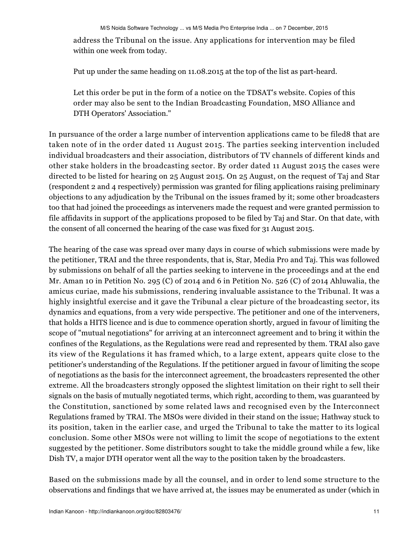address the Tribunal on the issue. Any applications for intervention may be filed within one week from today.

Put up under the same heading on 11.08.2015 at the top of the list as part-heard.

Let this order be put in the form of a notice on the TDSAT's website. Copies of this order may also be sent to the Indian Broadcasting Foundation, MSO Alliance and DTH Operators' Association."

In pursuance of the order a large number of intervention applications came to be filed8 that are taken note of in the order dated 11 August 2015. The parties seeking intervention included individual broadcasters and their association, distributors of TV channels of different kinds and other stake holders in the broadcasting sector. By order dated 11 August 2015 the cases were directed to be listed for hearing on 25 August 2015. On 25 August, on the request of Taj and Star (respondent 2 and 4 respectively) permission was granted for filing applications raising preliminary objections to any adjudication by the Tribunal on the issues framed by it; some other broadcasters too that had joined the proceedings as interveners made the request and were granted permission to file affidavits in support of the applications proposed to be filed by Taj and Star. On that date, with the consent of all concerned the hearing of the case was fixed for 31 August 2015.

The hearing of the case was spread over many days in course of which submissions were made by the petitioner, TRAI and the three respondents, that is, Star, Media Pro and Taj. This was followed by submissions on behalf of all the parties seeking to intervene in the proceedings and at the end Mr. Aman 10 in Petition No. 295 (C) of 2014 and 6 in Petition No. 526 (C) of 2014 Ahluwalia, the amicus curiae, made his submissions, rendering invaluable assistance to the Tribunal. It was a highly insightful exercise and it gave the Tribunal a clear picture of the broadcasting sector, its dynamics and equations, from a very wide perspective. The petitioner and one of the interveners, that holds a HITS licence and is due to commence operation shortly, argued in favour of limiting the scope of "mutual negotiations" for arriving at an interconnect agreement and to bring it within the confines of the Regulations, as the Regulations were read and represented by them. TRAI also gave its view of the Regulations it has framed which, to a large extent, appears quite close to the petitioner's understanding of the Regulations. If the petitioner argued in favour of limiting the scope of negotiations as the basis for the interconnect agreement, the broadcasters represented the other extreme. All the broadcasters strongly opposed the slightest limitation on their right to sell their signals on the basis of mutually negotiated terms, which right, according to them, was guaranteed by the Constitution, sanctioned by some related laws and recognised even by the Interconnect Regulations framed by TRAI. The MSOs were divided in their stand on the issue; Hathway stuck to its position, taken in the earlier case, and urged the Tribunal to take the matter to its logical conclusion. Some other MSOs were not willing to limit the scope of negotiations to the extent suggested by the petitioner. Some distributors sought to take the middle ground while a few, like Dish TV, a major DTH operator went all the way to the position taken by the broadcasters.

Based on the submissions made by all the counsel, and in order to lend some structure to the observations and findings that we have arrived at, the issues may be enumerated as under (which in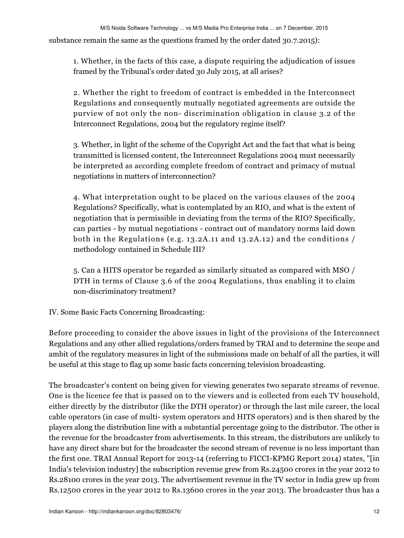substance remain the same as the questions framed by the order dated 30.7.2015):

1. Whether, in the facts of this case, a dispute requiring the adjudication of issues framed by the Tribunal's order dated 30 July 2015, at all arises?

2. Whether the right to freedom of contract is embedded in the Interconnect Regulations and consequently mutually negotiated agreements are outside the purview of not only the non- discrimination obligation in clause 3.2 of the Interconnect Regulations, 2004 but the regulatory regime itself?

3. Whether, in light of the scheme of the Copyright Act and the fact that what is being transmitted is licensed content, the Interconnect Regulations 2004 must necessarily be interpreted as according complete freedom of contract and primacy of mutual negotiations in matters of interconnection?

4. What interpretation ought to be placed on the various clauses of the 2004 Regulations? Specifically, what is contemplated by an RIO, and what is the extent of negotiation that is permissible in deviating from the terms of the RIO? Specifically, can parties - by mutual negotiations - contract out of mandatory norms laid down both in the Regulations (e.g. 13.2A.11 and 13.2A.12) and the conditions / methodology contained in Schedule III?

5. Can a HITS operator be regarded as similarly situated as compared with MSO / DTH in terms of Clause 3.6 of the 2004 Regulations, thus enabling it to claim non-discriminatory treatment?

IV. Some Basic Facts Concerning Broadcasting:

Before proceeding to consider the above issues in light of the provisions of the Interconnect Regulations and any other allied regulations/orders framed by TRAI and to determine the scope and ambit of the regulatory measures in light of the submissions made on behalf of all the parties, it will be useful at this stage to flag up some basic facts concerning television broadcasting.

The broadcaster's content on being given for viewing generates two separate streams of revenue. One is the licence fee that is passed on to the viewers and is collected from each TV household, either directly by the distributor (like the DTH operator) or through the last mile career, the local cable operators (in case of multi- system operators and HITS operators) and is then shared by the players along the distribution line with a substantial percentage going to the distributor. The other is the revenue for the broadcaster from advertisements. In this stream, the distributors are unlikely to have any direct share but for the broadcaster the second stream of revenue is no less important than the first one. TRAI Annual Report for 2013-14 (referring to FICCI-KPMG Report 2014) states, "[in India's television industry] the subscription revenue grew from Rs.24500 crores in the year 2012 to Rs.28100 crores in the year 2013. The advertisement revenue in the TV sector in India grew up from Rs.12500 crores in the year 2012 to Rs.13600 crores in the year 2013. The broadcaster thus has a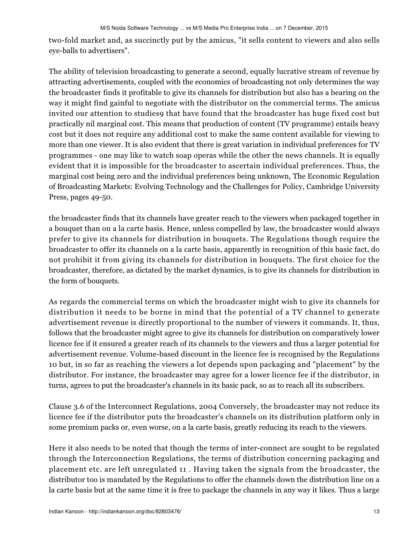two-fold market and, as succinctly put by the amicus, "it sells content to viewers and also sells eye-balls to advertisers".

The ability of television broadcasting to generate a second, equally lucrative stream of revenue by attracting advertisements, coupled with the economics of broadcasting not only determines the way the broadcaster finds it profitable to give its channels for distribution but also has a bearing on the way it might find gainful to negotiate with the distributor on the commercial terms. The amicus invited our attention to studies9 that have found that the broadcaster has huge fixed cost but practically nil marginal cost. This means that production of content (TV programme) entails heavy cost but it does not require any additional cost to make the same content available for viewing to more than one viewer. It is also evident that there is great variation in individual preferences for TV programmes - one may like to watch soap operas while the other the news channels. It is equally evident that it is impossible for the broadcaster to ascertain individual preferences. Thus, the marginal cost being zero and the individual preferences being unknown, The Economic Regulation of Broadcasting Markets: Evolving Technology and the Challenges for Policy, Cambridge University Press, pages 49-50.

the broadcaster finds that its channels have greater reach to the viewers when packaged together in a bouquet than on a la carte basis. Hence, unless compelled by law, the broadcaster would always prefer to give its channels for distribution in bouquets. The Regulations though require the broadcaster to offer its channels on a la carte basis, apparently in recognition of this basic fact, do not prohibit it from giving its channels for distribution in bouquets. The first choice for the broadcaster, therefore, as dictated by the market dynamics, is to give its channels for distribution in the form of bouquets.

As regards the commercial terms on which the broadcaster might wish to give its channels for distribution it needs to be borne in mind that the potential of a TV channel to generate advertisement revenue is directly proportional to the number of viewers it commands. It, thus, follows that the broadcaster might agree to give its channels for distribution on comparatively lower licence fee if it ensured a greater reach of its channels to the viewers and thus a larger potential for advertisement revenue. Volume-based discount in the licence fee is recognised by the Regulations 10 but, in so far as reaching the viewers a lot depends upon packaging and "placement" by the distributor. For instance, the broadcaster may agree for a lower licence fee if the distributor, in turns, agrees to put the broadcaster's channels in its basic pack, so as to reach all its subscribers.

Clause 3.6 of the Interconnect Regulations, 2004 Conversely, the broadcaster may not reduce its licence fee if the distributor puts the broadcaster's channels on its distribution platform only in some premium packs or, even worse, on a la carte basis, greatly reducing its reach to the viewers.

Here it also needs to be noted that though the terms of inter-connect are sought to be regulated through the Interconnection Regulations, the terms of distribution concerning packaging and placement etc. are left unregulated 11 . Having taken the signals from the broadcaster, the distributor too is mandated by the Regulations to offer the channels down the distribution line on a la carte basis but at the same time it is free to package the channels in any way it likes. Thus a large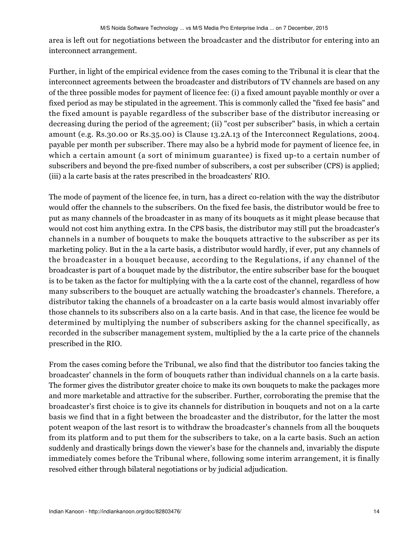area is left out for negotiations between the broadcaster and the distributor for entering into an interconnect arrangement.

Further, in light of the empirical evidence from the cases coming to the Tribunal it is clear that the interconnect agreements between the broadcaster and distributors of TV channels are based on any of the three possible modes for payment of licence fee: (i) a fixed amount payable monthly or over a fixed period as may be stipulated in the agreement. This is commonly called the "fixed fee basis" and the fixed amount is payable regardless of the subscriber base of the distributor increasing or decreasing during the period of the agreement; (ii) "cost per subscriber" basis, in which a certain amount (e.g. Rs.30.00 or Rs.35.00) is Clause 13.2A.13 of the Interconnect Regulations, 2004. payable per month per subscriber. There may also be a hybrid mode for payment of licence fee, in which a certain amount (a sort of minimum guarantee) is fixed up-to a certain number of subscribers and beyond the pre-fixed number of subscribers, a cost per subscriber (CPS) is applied; (iii) a la carte basis at the rates prescribed in the broadcasters' RIO.

The mode of payment of the licence fee, in turn, has a direct co-relation with the way the distributor would offer the channels to the subscribers. On the fixed fee basis, the distributor would be free to put as many channels of the broadcaster in as many of its bouquets as it might please because that would not cost him anything extra. In the CPS basis, the distributor may still put the broadcaster's channels in a number of bouquets to make the bouquets attractive to the subscriber as per its marketing policy. But in the a la carte basis, a distributor would hardly, if ever, put any channels of the broadcaster in a bouquet because, according to the Regulations, if any channel of the broadcaster is part of a bouquet made by the distributor, the entire subscriber base for the bouquet is to be taken as the factor for multiplying with the a la carte cost of the channel, regardless of how many subscribers to the bouquet are actually watching the broadcaster's channels. Therefore, a distributor taking the channels of a broadcaster on a la carte basis would almost invariably offer those channels to its subscribers also on a la carte basis. And in that case, the licence fee would be determined by multiplying the number of subscribers asking for the channel specifically, as recorded in the subscriber management system, multiplied by the a la carte price of the channels prescribed in the RIO.

From the cases coming before the Tribunal, we also find that the distributor too fancies taking the broadcaster' channels in the form of bouquets rather than individual channels on a la carte basis. The former gives the distributor greater choice to make its own bouquets to make the packages more and more marketable and attractive for the subscriber. Further, corroborating the premise that the broadcaster's first choice is to give its channels for distribution in bouquets and not on a la carte basis we find that in a fight between the broadcaster and the distributor, for the latter the most potent weapon of the last resort is to withdraw the broadcaster's channels from all the bouquets from its platform and to put them for the subscribers to take, on a la carte basis. Such an action suddenly and drastically brings down the viewer's base for the channels and, invariably the dispute immediately comes before the Tribunal where, following some interim arrangement, it is finally resolved either through bilateral negotiations or by judicial adjudication.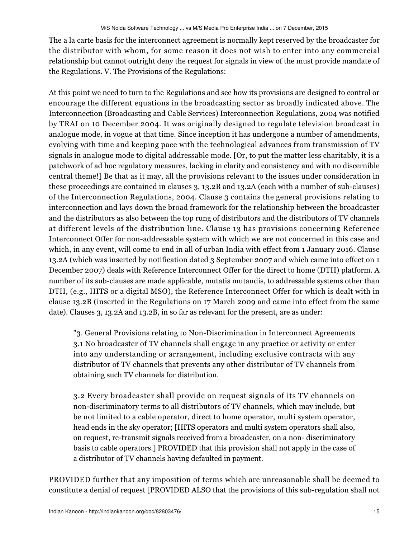The a la carte basis for the interconnect agreement is normally kept reserved by the broadcaster for the distributor with whom, for some reason it does not wish to enter into any commercial relationship but cannot outright deny the request for signals in view of the must provide mandate of the Regulations. V. The Provisions of the Regulations:

At this point we need to turn to the Regulations and see how its provisions are designed to control or encourage the different equations in the broadcasting sector as broadly indicated above. The Interconnection (Broadcasting and Cable Services) Interconnection Regulations, 2004 was notified by TRAI on 10 December 2004. It was originally designed to regulate television broadcast in analogue mode, in vogue at that time. Since inception it has undergone a number of amendments, evolving with time and keeping pace with the technological advances from transmission of TV signals in analogue mode to digital addressable mode. [Or, to put the matter less charitably, it is a patchwork of ad hoc regulatory measures, lacking in clarity and consistency and with no discernible central theme!] Be that as it may, all the provisions relevant to the issues under consideration in these proceedings are contained in clauses 3, 13.2B and 13.2A (each with a number of sub-clauses) of the Interconnection Regulations, 2004. Clause 3 contains the general provisions relating to interconnection and lays down the broad framework for the relationship between the broadcaster and the distributors as also between the top rung of distributors and the distributors of TV channels at different levels of the distribution line. Clause 13 has provisions concerning Reference Interconnect Offer for non-addressable system with which we are not concerned in this case and which, in any event, will come to end in all of urban India with effect from 1 January 2016. Clause 13.2A (which was inserted by notification dated 3 September 2007 and which came into effect on 1 December 2007) deals with Reference Interconnect Offer for the direct to home (DTH) platform. A number of its sub-clauses are made applicable, mutatis mutandis, to addressable systems other than DTH, (e.g., HITS or a digital MSO), the Reference Interconnect Offer for which is dealt with in clause 13.2B (inserted in the Regulations on 17 March 2009 and came into effect from the same date). Clauses 3, 13.2A and 13.2B, in so far as relevant for the present, are as under:

"3. General Provisions relating to Non-Discrimination in Interconnect Agreements 3.1 No broadcaster of TV channels shall engage in any practice or activity or enter into any understanding or arrangement, including exclusive contracts with any distributor of TV channels that prevents any other distributor of TV channels from obtaining such TV channels for distribution.

3.2 Every broadcaster shall provide on request signals of its TV channels on non-discriminatory terms to all distributors of TV channels, which may include, but be not limited to a cable operator, direct to home operator, multi system operator, head ends in the sky operator; [HITS operators and multi system operators shall also, on request, re-transmit signals received from a broadcaster, on a non- discriminatory basis to cable operators.] PROVIDED that this provision shall not apply in the case of a distributor of TV channels having defaulted in payment.

PROVIDED further that any imposition of terms which are unreasonable shall be deemed to constitute a denial of request [PROVIDED ALSO that the provisions of this sub-regulation shall not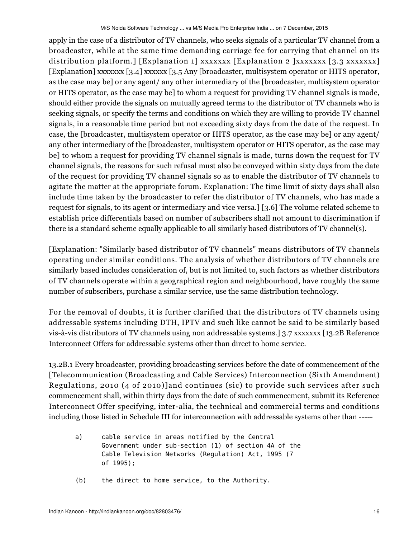apply in the case of a distributor of TV channels, who seeks signals of a particular TV channel from a broadcaster, while at the same time demanding carriage fee for carrying that channel on its distribution platform.] [Explanation 1] xxxxxxx [Explanation 2 ] $xxxxxx$  [3.3 xxxxxxx] [Explanation] xxxxxxx [3.4] xxxxxx [3.5 Any [broadcaster, multisystem operator or HITS operator, as the case may be] or any agent/ any other intermediary of the [broadcaster, multisystem operator or HITS operator, as the case may be] to whom a request for providing TV channel signals is made, should either provide the signals on mutually agreed terms to the distributor of TV channels who is seeking signals, or specify the terms and conditions on which they are willing to provide TV channel signals, in a reasonable time period but not exceeding sixty days from the date of the request. In case, the [broadcaster, multisystem operator or HITS operator, as the case may be] or any agent/ any other intermediary of the [broadcaster, multisystem operator or HITS operator, as the case may be] to whom a request for providing TV channel signals is made, turns down the request for TV channel signals, the reasons for such refusal must also be conveyed within sixty days from the date of the request for providing TV channel signals so as to enable the distributor of TV channels to agitate the matter at the appropriate forum. Explanation: The time limit of sixty days shall also include time taken by the broadcaster to refer the distributor of TV channels, who has made a request for signals, to its agent or intermediary and vice versa.] [3.6] The volume related scheme to establish price differentials based on number of subscribers shall not amount to discrimination if there is a standard scheme equally applicable to all similarly based distributors of TV channel(s).

[Explanation: "Similarly based distributor of TV channels" means distributors of TV channels operating under similar conditions. The analysis of whether distributors of TV channels are similarly based includes consideration of, but is not limited to, such factors as whether distributors of TV channels operate within a geographical region and neighbourhood, have roughly the same number of subscribers, purchase a similar service, use the same distribution technology.

For the removal of doubts, it is further clarified that the distributors of TV channels using addressable systems including DTH, IPTV and such like cannot be said to be similarly based vis-à-vis distributors of TV channels using non addressable systems.] 3.7 xxxxxxx [13.2B Reference Interconnect Offers for addressable systems other than direct to home service.

13.2B.1 Every broadcaster, providing broadcasting services before the date of commencement of the [Telecommunication (Broadcasting and Cable Services) Interconnection (Sixth Amendment) Regulations, 2010 (4 of 2010)]and continues (sic) to provide such services after such commencement shall, within thirty days from the date of such commencement, submit its Reference Interconnect Offer specifying, inter-alia, the technical and commercial terms and conditions including those listed in Schedule III for interconnection with addressable systems other than -----

- a) cable service in areas notified by the Central Government under sub-section (1) of section 4A of the Cable Television Networks (Regulation) Act, 1995 (7 of 1995);
- (b) the direct to home service, to the Authority.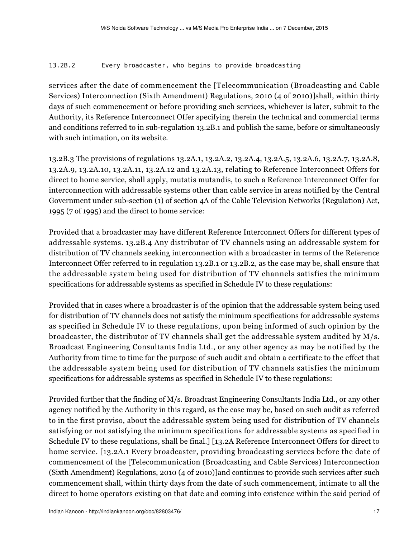## 13.2B.2 Every broadcaster, who begins to provide broadcasting

services after the date of commencement the [Telecommunication (Broadcasting and Cable Services) Interconnection (Sixth Amendment) Regulations, 2010 (4 of 2010)]shall, within thirty days of such commencement or before providing such services, whichever is later, submit to the Authority, its Reference Interconnect Offer specifying therein the technical and commercial terms and conditions referred to in sub-regulation 13.2B.1 and publish the same, before or simultaneously with such intimation, on its website.

13.2B.3 The provisions of regulations 13.2A.1, 13.2A.2, 13.2A.4, 13.2A.5, 13.2A.6, 13.2A.7, 13.2A.8, 13.2A.9, 13.2A.10, 13.2A.11, 13.2A.12 and 13.2A.13, relating to Reference Interconnect Offers for direct to home service, shall apply, mutatis mutandis, to such a Reference Interconnect Offer for interconnection with addressable systems other than cable service in areas notified by the Central Government under sub-section (1) of section 4A of the Cable Television Networks (Regulation) Act, 1995 (7 of 1995) and the direct to home service:

Provided that a broadcaster may have different Reference Interconnect Offers for different types of addressable systems. 13.2B.4 Any distributor of TV channels using an addressable system for distribution of TV channels seeking interconnection with a broadcaster in terms of the Reference Interconnect Offer referred to in regulation 13.2B.1 or 13.2B.2, as the case may be, shall ensure that the addressable system being used for distribution of TV channels satisfies the minimum specifications for addressable systems as specified in Schedule IV to these regulations:

Provided that in cases where a broadcaster is of the opinion that the addressable system being used for distribution of TV channels does not satisfy the minimum specifications for addressable systems as specified in Schedule IV to these regulations, upon being informed of such opinion by the broadcaster, the distributor of TV channels shall get the addressable system audited by M/s. Broadcast Engineering Consultants India Ltd., or any other agency as may be notified by the Authority from time to time for the purpose of such audit and obtain a certificate to the effect that the addressable system being used for distribution of TV channels satisfies the minimum specifications for addressable systems as specified in Schedule IV to these regulations:

Provided further that the finding of M/s. Broadcast Engineering Consultants India Ltd., or any other agency notified by the Authority in this regard, as the case may be, based on such audit as referred to in the first proviso, about the addressable system being used for distribution of TV channels satisfying or not satisfying the minimum specifications for addressable systems as specified in Schedule IV to these regulations, shall be final.] [13.2A Reference Interconnect Offers for direct to home service. [13.2A.1 Every broadcaster, providing broadcasting services before the date of commencement of the [Telecommunication (Broadcasting and Cable Services) Interconnection (Sixth Amendment) Regulations, 2010 (4 of 2010)]and continues to provide such services after such commencement shall, within thirty days from the date of such commencement, intimate to all the direct to home operators existing on that date and coming into existence within the said period of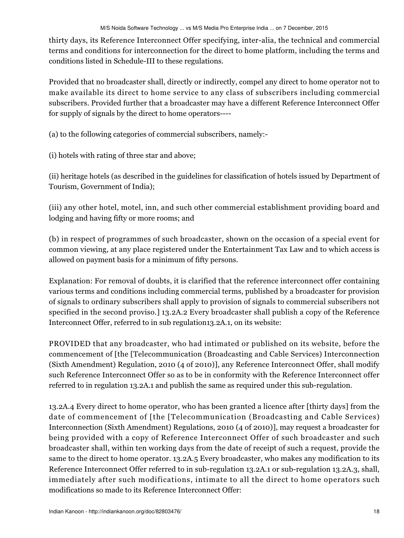thirty days, its Reference Interconnect Offer specifying, inter-alia, the technical and commercial terms and conditions for interconnection for the direct to home platform, including the terms and conditions listed in Schedule-III to these regulations.

Provided that no broadcaster shall, directly or indirectly, compel any direct to home operator not to make available its direct to home service to any class of subscribers including commercial subscribers. Provided further that a broadcaster may have a different Reference Interconnect Offer for supply of signals by the direct to home operators----

- (a) to the following categories of commercial subscribers, namely:-
- (i) hotels with rating of three star and above;

(ii) heritage hotels (as described in the guidelines for classification of hotels issued by Department of Tourism, Government of India);

(iii) any other hotel, motel, inn, and such other commercial establishment providing board and lodging and having fifty or more rooms; and

(b) in respect of programmes of such broadcaster, shown on the occasion of a special event for common viewing, at any place registered under the Entertainment Tax Law and to which access is allowed on payment basis for a minimum of fifty persons.

Explanation: For removal of doubts, it is clarified that the reference interconnect offer containing various terms and conditions including commercial terms, published by a broadcaster for provision of signals to ordinary subscribers shall apply to provision of signals to commercial subscribers not specified in the second proviso.] 13.2A.2 Every broadcaster shall publish a copy of the Reference Interconnect Offer, referred to in sub regulation13.2A.1, on its website:

PROVIDED that any broadcaster, who had intimated or published on its website, before the commencement of [the [Telecommunication (Broadcasting and Cable Services) Interconnection (Sixth Amendment) Regulation, 2010 (4 of 2010)], any Reference Interconnect Offer, shall modify such Reference Interconnect Offer so as to be in conformity with the Reference Interconnect offer referred to in regulation 13.2A.1 and publish the same as required under this sub-regulation.

13.2A.4 Every direct to home operator, who has been granted a licence after [thirty days] from the date of commencement of [the [Telecommunication (Broadcasting and Cable Services) Interconnection (Sixth Amendment) Regulations, 2010 (4 of 2010)], may request a broadcaster for being provided with a copy of Reference Interconnect Offer of such broadcaster and such broadcaster shall, within ten working days from the date of receipt of such a request, provide the same to the direct to home operator. 13.2A.5 Every broadcaster, who makes any modification to its Reference Interconnect Offer referred to in sub-regulation 13.2A.1 or sub-regulation 13.2A.3, shall, immediately after such modifications, intimate to all the direct to home operators such modifications so made to its Reference Interconnect Offer: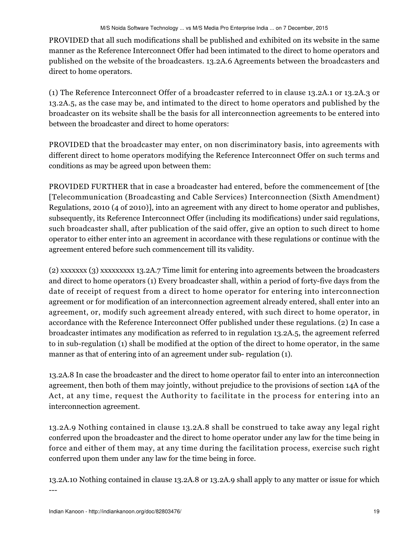PROVIDED that all such modifications shall be published and exhibited on its website in the same manner as the Reference Interconnect Offer had been intimated to the direct to home operators and published on the website of the broadcasters. 13.2A.6 Agreements between the broadcasters and direct to home operators.

(1) The Reference Interconnect Offer of a broadcaster referred to in clause 13.2A.1 or 13.2A.3 or 13.2A.5, as the case may be, and intimated to the direct to home operators and published by the broadcaster on its website shall be the basis for all interconnection agreements to be entered into between the broadcaster and direct to home operators:

PROVIDED that the broadcaster may enter, on non discriminatory basis, into agreements with different direct to home operators modifying the Reference Interconnect Offer on such terms and conditions as may be agreed upon between them:

PROVIDED FURTHER that in case a broadcaster had entered, before the commencement of [the [Telecommunication (Broadcasting and Cable Services) Interconnection (Sixth Amendment) Regulations, 2010 (4 of 2010)], into an agreement with any direct to home operator and publishes, subsequently, its Reference Interconnect Offer (including its modifications) under said regulations, such broadcaster shall, after publication of the said offer, give an option to such direct to home operator to either enter into an agreement in accordance with these regulations or continue with the agreement entered before such commencement till its validity.

(2) xxxxxxx (3) xxxxxxxxx 13.2A.7 Time limit for entering into agreements between the broadcasters and direct to home operators (1) Every broadcaster shall, within a period of forty-five days from the date of receipt of request from a direct to home operator for entering into interconnection agreement or for modification of an interconnection agreement already entered, shall enter into an agreement, or, modify such agreement already entered, with such direct to home operator, in accordance with the Reference Interconnect Offer published under these regulations. (2) In case a broadcaster intimates any modification as referred to in regulation 13.2A.5, the agreement referred to in sub-regulation (1) shall be modified at the option of the direct to home operator, in the same manner as that of entering into of an agreement under sub- regulation (1).

13.2A.8 In case the broadcaster and the direct to home operator fail to enter into an interconnection agreement, then both of them may jointly, without prejudice to the provisions of section 14A of the Act, at any time, request the Authority to facilitate in the process for entering into an interconnection agreement.

13.2A.9 Nothing contained in clause 13.2A.8 shall be construed to take away any legal right conferred upon the broadcaster and the direct to home operator under any law for the time being in force and either of them may, at any time during the facilitation process, exercise such right conferred upon them under any law for the time being in force.

13.2A.10 Nothing contained in clause 13.2A.8 or 13.2A.9 shall apply to any matter or issue for which ---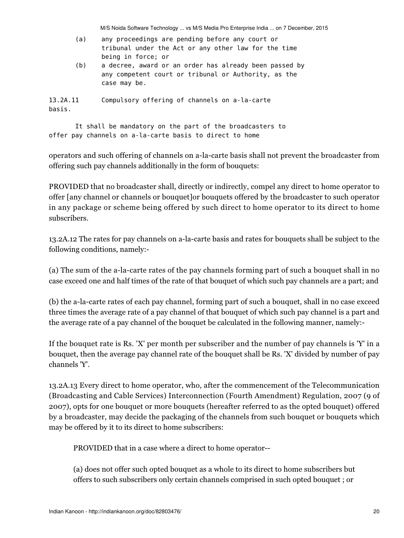| (a)                | any proceedings are pending before any court or<br>tribunal under the Act or any other law for the time<br>being in force; or  |
|--------------------|--------------------------------------------------------------------------------------------------------------------------------|
| (b)                | a decree, award or an order has already been passed by<br>any competent court or tribunal or Authority, as the<br>case may be. |
| 13.2A.11<br>basis. | Compulsory offering of channels on a-la-carte                                                                                  |

 It shall be mandatory on the part of the broadcasters to offer pay channels on a-la-carte basis to direct to home

operators and such offering of channels on a-la-carte basis shall not prevent the broadcaster from offering such pay channels additionally in the form of bouquets:

M/S Noida Software Technology ... vs M/S Media Pro Enterprise India ... on 7 December, 2015

PROVIDED that no broadcaster shall, directly or indirectly, compel any direct to home operator to offer [any channel or channels or bouquet]or bouquets offered by the broadcaster to such operator in any package or scheme being offered by such direct to home operator to its direct to home subscribers.

13.2A.12 The rates for pay channels on a-la-carte basis and rates for bouquets shall be subject to the following conditions, namely:-

(a) The sum of the a-la-carte rates of the pay channels forming part of such a bouquet shall in no case exceed one and half times of the rate of that bouquet of which such pay channels are a part; and

(b) the a-la-carte rates of each pay channel, forming part of such a bouquet, shall in no case exceed three times the average rate of a pay channel of that bouquet of which such pay channel is a part and the average rate of a pay channel of the bouquet be calculated in the following manner, namely:-

If the bouquet rate is Rs. 'X' per month per subscriber and the number of pay channels is 'Y' in a bouquet, then the average pay channel rate of the bouquet shall be Rs. 'X' divided by number of pay channels 'Y'.

13.2A.13 Every direct to home operator, who, after the commencement of the Telecommunication (Broadcasting and Cable Services) Interconnection (Fourth Amendment) Regulation, 2007 (9 of 2007), opts for one bouquet or more bouquets (hereafter referred to as the opted bouquet) offered by a broadcaster, may decide the packaging of the channels from such bouquet or bouquets which may be offered by it to its direct to home subscribers:

PROVIDED that in a case where a direct to home operator--

(a) does not offer such opted bouquet as a whole to its direct to home subscribers but offers to such subscribers only certain channels comprised in such opted bouquet ; or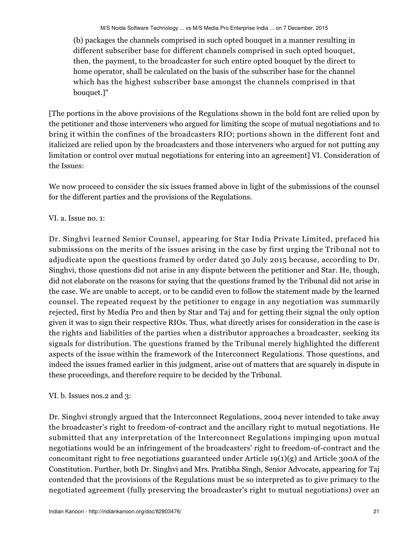(b) packages the channels comprised in such opted bouquet in a manner resulting in different subscriber base for different channels comprised in such opted bouquet, then, the payment, to the broadcaster for such entire opted bouquet by the direct to home operator, shall be calculated on the basis of the subscriber base for the channel which has the highest subscriber base amongst the channels comprised in that bouquet.]"

[The portions in the above provisions of the Regulations shown in the bold font are relied upon by the petitioner and those interveners who argued for limiting the scope of mutual negotiations and to bring it within the confines of the broadcasters RIO; portions shown in the different font and italicized are relied upon by the broadcasters and those interveners who argued for not putting any limitation or control over mutual negotiations for entering into an agreement] VI. Consideration of the Issues:

We now proceed to consider the six issues framed above in light of the submissions of the counsel for the different parties and the provisions of the Regulations.

# VI. a. Issue no. 1:

Dr. Singhvi learned Senior Counsel, appearing for Star India Private Limited, prefaced his submissions on the merits of the issues arising in the case by first urging the Tribunal not to adjudicate upon the questions framed by order dated 30 July 2015 because, according to Dr. Singhvi, those questions did not arise in any dispute between the petitioner and Star. He, though, did not elaborate on the reasons for saying that the questions framed by the Tribunal did not arise in the case. We are unable to accept, or to be candid even to follow the statement made by the learned counsel. The repeated request by the petitioner to engage in any negotiation was summarily rejected, first by Media Pro and then by Star and Taj and for getting their signal the only option given it was to sign their respective RIOs. Thus, what directly arises for consideration in the case is the rights and liabilities of the parties when a distributor approaches a broadcaster, seeking its signals for distribution. The questions framed by the Tribunal merely highlighted the different aspects of the issue within the framework of the Interconnect Regulations. Those questions, and indeed the issues framed earlier in this judgment, arise out of matters that are squarely in dispute in these proceedings, and therefore require to be decided by the Tribunal.

# VI. b. Issues nos.2 and 3:

Dr. Singhvi strongly argued that the Interconnect Regulations, 2004 never intended to take away the broadcaster's right to freedom-of-contract and the ancillary right to mutual negotiations. He submitted that any interpretation of the Interconnect Regulations impinging upon mutual negotiations would be an infringement of the broadcasters' right to freedom-of-contract and the concomitant right to free negotiations guaranteed under Article  $19(1)(g)$  and Article 300A of the Constitution. Further, both Dr. Singhvi and Mrs. Pratibha Singh, Senior Advocate, appearing for Taj contended that the provisions of the Regulations must be so interpreted as to give primacy to the negotiated agreement (fully preserving the broadcaster's right to mutual negotiations) over an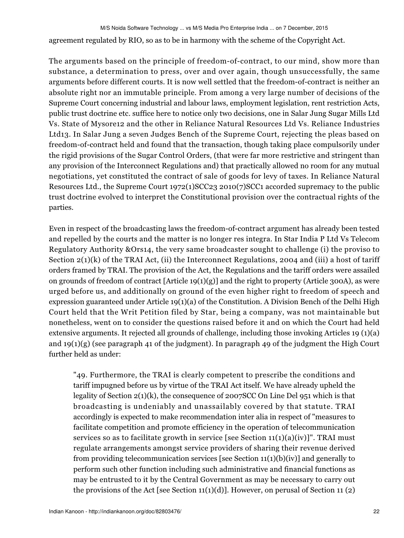agreement regulated by RIO, so as to be in harmony with the scheme of the Copyright Act.

The arguments based on the principle of freedom-of-contract, to our mind, show more than substance, a determination to press, over and over again, though unsuccessfully, the same arguments before different courts. It is now well settled that the freedom-of-contract is neither an absolute right nor an immutable principle. From among a very large number of decisions of the Supreme Court concerning industrial and labour laws, employment legislation, rent restriction Acts, public trust doctrine etc. suffice here to notice only two decisions, one in Salar Jung Sugar Mills Ltd Vs. State of Mysore12 and the other in Reliance Natural Resources Ltd Vs. Reliance Industries Ltd13. In Salar Jung a seven Judges Bench of the Supreme Court, rejecting the pleas based on freedom-of-contract held and found that the transaction, though taking place compulsorily under the rigid provisions of the Sugar Control Orders, (that were far more restrictive and stringent than any provision of the Interconnect Regulations and) that practically allowed no room for any mutual negotiations, yet constituted the contract of sale of goods for levy of taxes. In Reliance Natural Resources Ltd., the Supreme Court 1972(1)SCC23 2010(7)SCC1 accorded supremacy to the public trust doctrine evolved to interpret the Constitutional provision over the contractual rights of the parties.

Even in respect of the broadcasting laws the freedom-of-contract argument has already been tested and repelled by the courts and the matter is no longer res integra. In Star India P Ltd Vs Telecom Regulatory Authority &Ors14, the very same broadcaster sought to challenge (i) the proviso to Section 2(1)(k) of the TRAI Act, (ii) the Interconnect Regulations, 2004 and (iii) a host of tariff orders framed by TRAI. The provision of the Act, the Regulations and the tariff orders were assailed on grounds of freedom of contract [Article 19(1)(g)] and the right to property (Article 300A), as were urged before us, and additionally on ground of the even higher right to freedom of speech and expression guaranteed under Article 19(1)(a) of the Constitution. A Division Bench of the Delhi High Court held that the Writ Petition filed by Star, being a company, was not maintainable but nonetheless, went on to consider the questions raised before it and on which the Court had held extensive arguments. It rejected all grounds of challenge, including those invoking Articles 19 (1)(a) and 19(1)(g) (see paragraph 41 of the judgment). In paragraph 49 of the judgment the High Court further held as under:

"49. Furthermore, the TRAI is clearly competent to prescribe the conditions and tariff impugned before us by virtue of the TRAI Act itself. We have already upheld the legality of Section 2(1)(k), the consequence of 2007SCC On Line Del 951 which is that broadcasting is undeniably and unassailably covered by that statute. TRAI accordingly is expected to make recommendation inter alia in respect of "measures to facilitate competition and promote efficiency in the operation of telecommunication services so as to facilitate growth in service [see Section  $11(1)(a)(iv)$ ]". TRAI must regulate arrangements amongst service providers of sharing their revenue derived from providing telecommunication services [see Section 11(1)(b)(iv)] and generally to perform such other function including such administrative and financial functions as may be entrusted to it by the Central Government as may be necessary to carry out the provisions of the Act [see Section  $11(1)(d)$ ]. However, on perusal of Section 11 (2)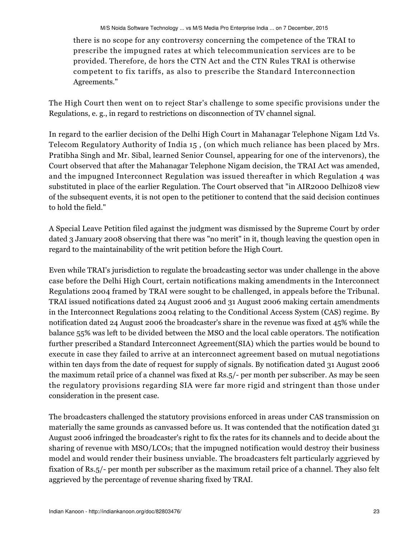there is no scope for any controversy concerning the competence of the TRAI to prescribe the impugned rates at which telecommunication services are to be provided. Therefore, de hors the CTN Act and the CTN Rules TRAI is otherwise competent to fix tariffs, as also to prescribe the Standard Interconnection Agreements."

The High Court then went on to reject Star's challenge to some specific provisions under the Regulations, e. g., in regard to restrictions on disconnection of TV channel signal.

In regard to the earlier decision of the Delhi High Court in Mahanagar Telephone Nigam Ltd Vs. Telecom Regulatory Authority of India 15 , (on which much reliance has been placed by Mrs. Pratibha Singh and Mr. Sibal, learned Senior Counsel, appearing for one of the intervenors), the Court observed that after the Mahanagar Telephone Nigam decision, the TRAI Act was amended, and the impugned Interconnect Regulation was issued thereafter in which Regulation 4 was substituted in place of the earlier Regulation. The Court observed that "in AIR2000 Delhi208 view of the subsequent events, it is not open to the petitioner to contend that the said decision continues to hold the field."

A Special Leave Petition filed against the judgment was dismissed by the Supreme Court by order dated 3 January 2008 observing that there was "no merit" in it, though leaving the question open in regard to the maintainability of the writ petition before the High Court.

Even while TRAI's jurisdiction to regulate the broadcasting sector was under challenge in the above case before the Delhi High Court, certain notifications making amendments in the Interconnect Regulations 2004 framed by TRAI were sought to be challenged, in appeals before the Tribunal. TRAI issued notifications dated 24 August 2006 and 31 August 2006 making certain amendments in the Interconnect Regulations 2004 relating to the Conditional Access System (CAS) regime. By notification dated 24 August 2006 the broadcaster's share in the revenue was fixed at 45% while the balance 55% was left to be divided between the MSO and the local cable operators. The notification further prescribed a Standard Interconnect Agreement(SIA) which the parties would be bound to execute in case they failed to arrive at an interconnect agreement based on mutual negotiations within ten days from the date of request for supply of signals. By notification dated 31 August 2006 the maximum retail price of a channel was fixed at Rs.5/- per month per subscriber. As may be seen the regulatory provisions regarding SIA were far more rigid and stringent than those under consideration in the present case.

The broadcasters challenged the statutory provisions enforced in areas under CAS transmission on materially the same grounds as canvassed before us. It was contended that the notification dated 31 August 2006 infringed the broadcaster's right to fix the rates for its channels and to decide about the sharing of revenue with MSO/LCOs; that the impugned notification would destroy their business model and would render their business unviable. The broadcasters felt particularly aggrieved by fixation of Rs.5/- per month per subscriber as the maximum retail price of a channel. They also felt aggrieved by the percentage of revenue sharing fixed by TRAI.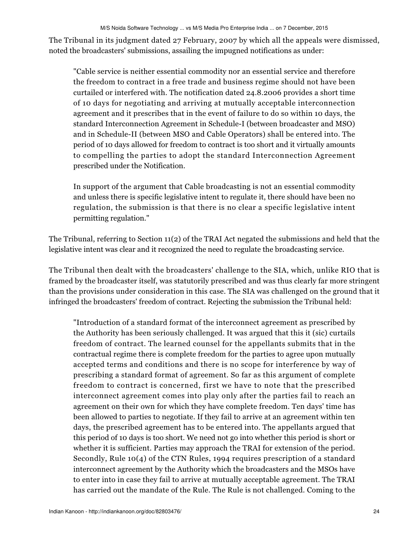The Tribunal in its judgment dated 27 February, 2007 by which all the appeals were dismissed, noted the broadcasters' submissions, assailing the impugned notifications as under:

"Cable service is neither essential commodity nor an essential service and therefore the freedom to contract in a free trade and business regime should not have been curtailed or interfered with. The notification dated 24.8.2006 provides a short time of 10 days for negotiating and arriving at mutually acceptable interconnection agreement and it prescribes that in the event of failure to do so within 10 days, the standard Interconnection Agreement in Schedule-I (between broadcaster and MSO) and in Schedule-II (between MSO and Cable Operators) shall be entered into. The period of 10 days allowed for freedom to contract is too short and it virtually amounts to compelling the parties to adopt the standard Interconnection Agreement prescribed under the Notification.

In support of the argument that Cable broadcasting is not an essential commodity and unless there is specific legislative intent to regulate it, there should have been no regulation, the submission is that there is no clear a specific legislative intent permitting regulation."

The Tribunal, referring to Section 11(2) of the TRAI Act negated the submissions and held that the legislative intent was clear and it recognized the need to regulate the broadcasting service.

The Tribunal then dealt with the broadcasters' challenge to the SIA, which, unlike RIO that is framed by the broadcaster itself, was statutorily prescribed and was thus clearly far more stringent than the provisions under consideration in this case. The SIA was challenged on the ground that it infringed the broadcasters' freedom of contract. Rejecting the submission the Tribunal held:

"Introduction of a standard format of the interconnect agreement as prescribed by the Authority has been seriously challenged. It was argued that this it (sic) curtails freedom of contract. The learned counsel for the appellants submits that in the contractual regime there is complete freedom for the parties to agree upon mutually accepted terms and conditions and there is no scope for interference by way of prescribing a standard format of agreement. So far as this argument of complete freedom to contract is concerned, first we have to note that the prescribed interconnect agreement comes into play only after the parties fail to reach an agreement on their own for which they have complete freedom. Ten days' time has been allowed to parties to negotiate. If they fail to arrive at an agreement within ten days, the prescribed agreement has to be entered into. The appellants argued that this period of 10 days is too short. We need not go into whether this period is short or whether it is sufficient. Parties may approach the TRAI for extension of the period. Secondly, Rule 10(4) of the CTN Rules, 1994 requires prescription of a standard interconnect agreement by the Authority which the broadcasters and the MSOs have to enter into in case they fail to arrive at mutually acceptable agreement. The TRAI has carried out the mandate of the Rule. The Rule is not challenged. Coming to the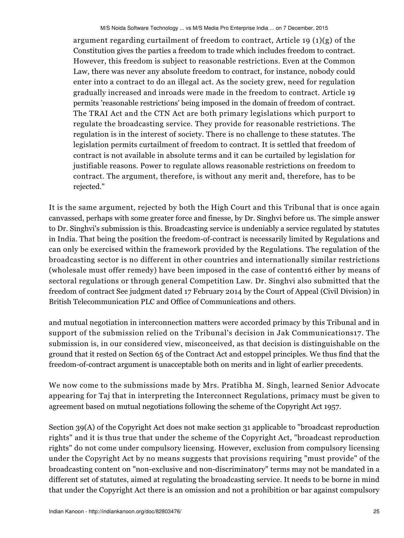argument regarding curtailment of freedom to contract, Article 19  $(1)(g)$  of the Constitution gives the parties a freedom to trade which includes freedom to contract. However, this freedom is subject to reasonable restrictions. Even at the Common Law, there was never any absolute freedom to contract, for instance, nobody could enter into a contract to do an illegal act. As the society grew, need for regulation gradually increased and inroads were made in the freedom to contract. Article 19 permits 'reasonable restrictions' being imposed in the domain of freedom of contract. The TRAI Act and the CTN Act are both primary legislations which purport to regulate the broadcasting service. They provide for reasonable restrictions. The regulation is in the interest of society. There is no challenge to these statutes. The legislation permits curtailment of freedom to contract. It is settled that freedom of contract is not available in absolute terms and it can be curtailed by legislation for justifiable reasons. Power to regulate allows reasonable restrictions on freedom to contract. The argument, therefore, is without any merit and, therefore, has to be rejected."

It is the same argument, rejected by both the High Court and this Tribunal that is once again canvassed, perhaps with some greater force and finesse, by Dr. Singhvi before us. The simple answer to Dr. Singhvi's submission is this. Broadcasting service is undeniably a service regulated by statutes in India. That being the position the freedom-of-contract is necessarily limited by Regulations and can only be exercised within the framework provided by the Regulations. The regulation of the broadcasting sector is no different in other countries and internationally similar restrictions (wholesale must offer remedy) have been imposed in the case of content16 either by means of sectoral regulations or through general Competition Law. Dr. Singhvi also submitted that the freedom of contract See judgment dated 17 February 2014 by the Court of Appeal (Civil Division) in British Telecommunication PLC and Office of Communications and others.

and mutual negotiation in interconnection matters were accorded primacy by this Tribunal and in support of the submission relied on the Tribunal's decision in Jak Communications17. The submission is, in our considered view, misconceived, as that decision is distinguishable on the ground that it rested on Section 65 of the Contract Act and estoppel principles. We thus find that the freedom-of-contract argument is unacceptable both on merits and in light of earlier precedents.

We now come to the submissions made by Mrs. Pratibha M. Singh, learned Senior Advocate appearing for Taj that in interpreting the Interconnect Regulations, primacy must be given to agreement based on mutual negotiations following the scheme of the Copyright Act 1957.

Section 39(A) of the Copyright Act does not make section 31 applicable to "broadcast reproduction rights" and it is thus true that under the scheme of the Copyright Act, "broadcast reproduction rights" do not come under compulsory licensing. However, exclusion from compulsory licensing under the Copyright Act by no means suggests that provisions requiring "must provide" of the broadcasting content on "non-exclusive and non-discriminatory" terms may not be mandated in a different set of statutes, aimed at regulating the broadcasting service. It needs to be borne in mind that under the Copyright Act there is an omission and not a prohibition or bar against compulsory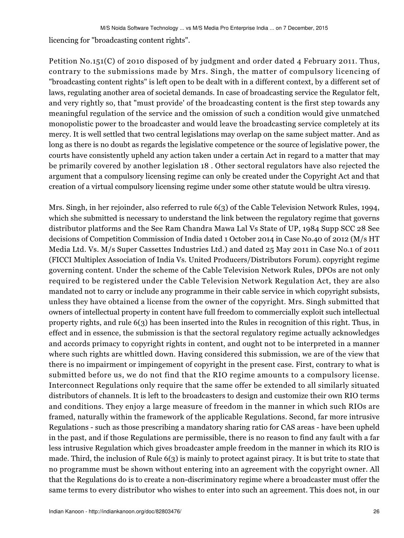licencing for "broadcasting content rights".

Petition No.151(C) of 2010 disposed of by judgment and order dated 4 February 2011. Thus, contrary to the submissions made by Mrs. Singh, the matter of compulsory licencing of "broadcasting content rights" is left open to be dealt with in a different context, by a different set of laws, regulating another area of societal demands. In case of broadcasting service the Regulator felt, and very rightly so, that "must provide' of the broadcasting content is the first step towards any meaningful regulation of the service and the omission of such a condition would give unmatched monopolistic power to the broadcaster and would leave the broadcasting service completely at its mercy. It is well settled that two central legislations may overlap on the same subject matter. And as long as there is no doubt as regards the legislative competence or the source of legislative power, the courts have consistently upheld any action taken under a certain Act in regard to a matter that may be primarily covered by another legislation 18 . Other sectoral regulators have also rejected the argument that a compulsory licensing regime can only be created under the Copyright Act and that creation of a virtual compulsory licensing regime under some other statute would be ultra vires19.

Mrs. Singh, in her rejoinder, also referred to rule 6(3) of the Cable Television Network Rules, 1994, which she submitted is necessary to understand the link between the regulatory regime that governs distributor platforms and the See Ram Chandra Mawa Lal Vs State of UP, 1984 Supp SCC 28 See decisions of Competition Commission of India dated 1 October 2014 in Case No.40 of 2012 (M/s HT Media Ltd. Vs. M/s Super Cassettes Industries Ltd.) and dated 25 May 2011 in Case No.1 of 2011 (FICCI Multiplex Association of India Vs. United Producers/Distributors Forum). copyright regime governing content. Under the scheme of the Cable Television Network Rules, DPOs are not only required to be registered under the Cable Television Network Regulation Act, they are also mandated not to carry or include any programme in their cable service in which copyright subsists, unless they have obtained a license from the owner of the copyright. Mrs. Singh submitted that owners of intellectual property in content have full freedom to commercially exploit such intellectual property rights, and rule 6(3) has been inserted into the Rules in recognition of this right. Thus, in effect and in essence, the submission is that the sectoral regulatory regime actually acknowledges and accords primacy to copyright rights in content, and ought not to be interpreted in a manner where such rights are whittled down. Having considered this submission, we are of the view that there is no impairment or impingement of copyright in the present case. First, contrary to what is submitted before us, we do not find that the RIO regime amounts to a compulsory license. Interconnect Regulations only require that the same offer be extended to all similarly situated distributors of channels. It is left to the broadcasters to design and customize their own RIO terms and conditions. They enjoy a large measure of freedom in the manner in which such RIOs are framed, naturally within the framework of the applicable Regulations. Second, far more intrusive Regulations - such as those prescribing a mandatory sharing ratio for CAS areas - have been upheld in the past, and if those Regulations are permissible, there is no reason to find any fault with a far less intrusive Regulation which gives broadcaster ample freedom in the manner in which its RIO is made. Third, the inclusion of Rule  $6(3)$  is mainly to protect against piracy. It is but trite to state that no programme must be shown without entering into an agreement with the copyright owner. All that the Regulations do is to create a non-discriminatory regime where a broadcaster must offer the same terms to every distributor who wishes to enter into such an agreement. This does not, in our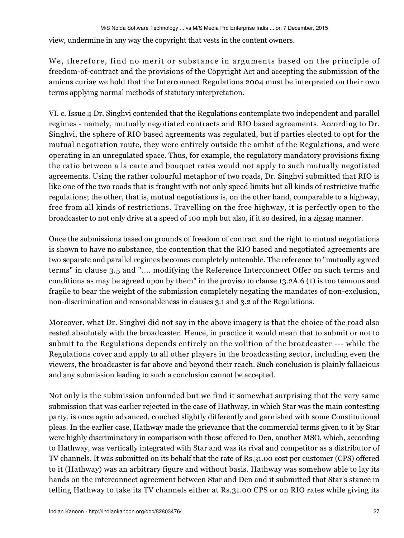view, undermine in any way the copyright that vests in the content owners.

We, therefore, find no merit or substance in arguments based on the principle of freedom-of-contract and the provisions of the Copyright Act and accepting the submission of the amicus curiae we hold that the Interconnect Regulations 2004 must be interpreted on their own terms applying normal methods of statutory interpretation.

VI. c. Issue 4 Dr. Singhvi contended that the Regulations contemplate two independent and parallel regimes - namely, mutually negotiated contracts and RIO based agreements. According to Dr. Singhvi, the sphere of RIO based agreements was regulated, but if parties elected to opt for the mutual negotiation route, they were entirely outside the ambit of the Regulations, and were operating in an unregulated space. Thus, for example, the regulatory mandatory provisions fixing the ratio between a la carte and bouquet rates would not apply to such mutually negotiated agreements. Using the rather colourful metaphor of two roads, Dr. Singhvi submitted that RIO is like one of the two roads that is fraught with not only speed limits but all kinds of restrictive traffic regulations; the other, that is, mutual negotiations is, on the other hand, comparable to a highway, free from all kinds of restrictions. Travelling on the free highway, it is perfectly open to the broadcaster to not only drive at a speed of 100 mph but also, if it so desired, in a zigzag manner.

Once the submissions based on grounds of freedom of contract and the right to mutual negotiations is shown to have no substance, the contention that the RIO based and negotiated agreements are two separate and parallel regimes becomes completely untenable. The reference to "mutually agreed terms" in clause 3.5 and ".... modifying the Reference Interconnect Offer on such terms and conditions as may be agreed upon by them" in the proviso to clause 13.2A.6 (1) is too tenuous and fragile to bear the weight of the submission completely negating the mandates of non-exclusion, non-discrimination and reasonableness in clauses 3.1 and 3.2 of the Regulations.

Moreover, what Dr. Singhvi did not say in the above imagery is that the choice of the road also rested absolutely with the broadcaster. Hence, in practice it would mean that to submit or not to submit to the Regulations depends entirely on the volition of the broadcaster --- while the Regulations cover and apply to all other players in the broadcasting sector, including even the viewers, the broadcaster is far above and beyond their reach. Such conclusion is plainly fallacious and any submission leading to such a conclusion cannot be accepted.

Not only is the submission unfounded but we find it somewhat surprising that the very same submission that was earlier rejected in the case of Hathway, in which Star was the main contesting party, is once again advanced, couched slightly differently and garnished with some Constitutional pleas. In the earlier case, Hathway made the grievance that the commercial terms given to it by Star were highly discriminatory in comparison with those offered to Den, another MSO, which, according to Hathway, was vertically integrated with Star and was its rival and competitor as a distributor of TV channels. It was submitted on its behalf that the rate of Rs.31.00 cost per customer (CPS) offered to it (Hathway) was an arbitrary figure and without basis. Hathway was somehow able to lay its hands on the interconnect agreement between Star and Den and it submitted that Star's stance in telling Hathway to take its TV channels either at Rs.31.00 CPS or on RIO rates while giving its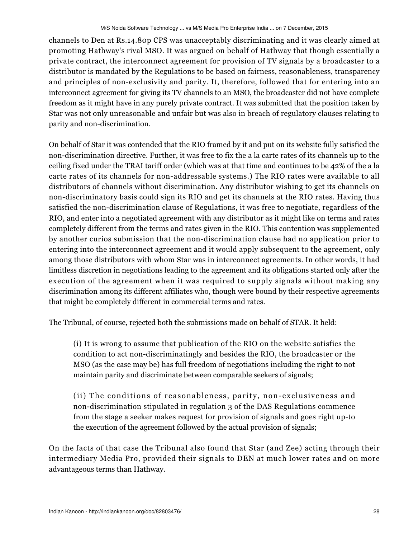channels to Den at Rs.14.80p CPS was unacceptably discriminating and it was clearly aimed at promoting Hathway's rival MSO. It was argued on behalf of Hathway that though essentially a private contract, the interconnect agreement for provision of TV signals by a broadcaster to a distributor is mandated by the Regulations to be based on fairness, reasonableness, transparency and principles of non-exclusivity and parity. It, therefore, followed that for entering into an interconnect agreement for giving its TV channels to an MSO, the broadcaster did not have complete freedom as it might have in any purely private contract. It was submitted that the position taken by Star was not only unreasonable and unfair but was also in breach of regulatory clauses relating to parity and non-discrimination.

On behalf of Star it was contended that the RIO framed by it and put on its website fully satisfied the non-discrimination directive. Further, it was free to fix the a la carte rates of its channels up to the ceiling fixed under the TRAI tariff order (which was at that time and continues to be 42% of the a la carte rates of its channels for non-addressable systems.) The RIO rates were available to all distributors of channels without discrimination. Any distributor wishing to get its channels on non-discriminatory basis could sign its RIO and get its channels at the RIO rates. Having thus satisfied the non-discrimination clause of Regulations, it was free to negotiate, regardless of the RIO, and enter into a negotiated agreement with any distributor as it might like on terms and rates completely different from the terms and rates given in the RIO. This contention was supplemented by another curios submission that the non-discrimination clause had no application prior to entering into the interconnect agreement and it would apply subsequent to the agreement, only among those distributors with whom Star was in interconnect agreements. In other words, it had limitless discretion in negotiations leading to the agreement and its obligations started only after the execution of the agreement when it was required to supply signals without making any discrimination among its different affiliates who, though were bound by their respective agreements that might be completely different in commercial terms and rates.

The Tribunal, of course, rejected both the submissions made on behalf of STAR. It held:

(i) It is wrong to assume that publication of the RIO on the website satisfies the condition to act non-discriminatingly and besides the RIO, the broadcaster or the MSO (as the case may be) has full freedom of negotiations including the right to not maintain parity and discriminate between comparable seekers of signals;

(ii) The conditions of reasonableness, parity, non-exclusiveness and non-discrimination stipulated in regulation 3 of the DAS Regulations commence from the stage a seeker makes request for provision of signals and goes right up-to the execution of the agreement followed by the actual provision of signals;

On the facts of that case the Tribunal also found that Star (and Zee) acting through their intermediary Media Pro, provided their signals to DEN at much lower rates and on more advantageous terms than Hathway.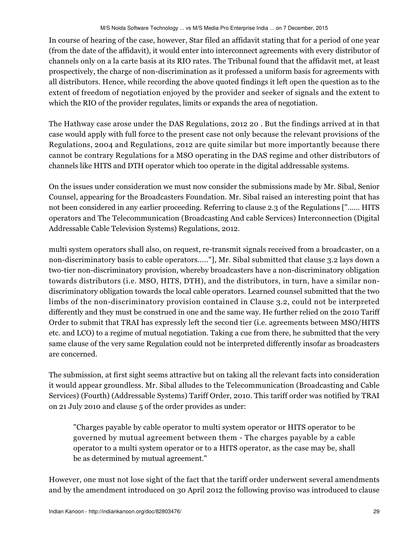In course of hearing of the case, however, Star filed an affidavit stating that for a period of one year (from the date of the affidavit), it would enter into interconnect agreements with every distributor of channels only on a la carte basis at its RIO rates. The Tribunal found that the affidavit met, at least prospectively, the charge of non-discrimination as it professed a uniform basis for agreements with all distributors. Hence, while recording the above quoted findings it left open the question as to the extent of freedom of negotiation enjoyed by the provider and seeker of signals and the extent to which the RIO of the provider regulates, limits or expands the area of negotiation.

The Hathway case arose under the DAS Regulations, 2012 20 . But the findings arrived at in that case would apply with full force to the present case not only because the relevant provisions of the Regulations, 2004 and Regulations, 2012 are quite similar but more importantly because there cannot be contrary Regulations for a MSO operating in the DAS regime and other distributors of channels like HITS and DTH operator which too operate in the digital addressable systems.

On the issues under consideration we must now consider the submissions made by Mr. Sibal, Senior Counsel, appearing for the Broadcasters Foundation. Mr. Sibal raised an interesting point that has not been considered in any earlier proceeding. Referring to clause 2.3 of the Regulations ["...... HITS operators and The Telecommunication (Broadcasting And cable Services) Interconnection (Digital Addressable Cable Television Systems) Regulations, 2012.

multi system operators shall also, on request, re-transmit signals received from a broadcaster, on a non-discriminatory basis to cable operators....."], Mr. Sibal submitted that clause 3.2 lays down a two-tier non-discriminatory provision, whereby broadcasters have a non-discriminatory obligation towards distributors (i.e. MSO, HITS, DTH), and the distributors, in turn, have a similar nondiscriminatory obligation towards the local cable operators. Learned counsel submitted that the two limbs of the non-discriminatory provision contained in Clause 3.2, could not be interpreted differently and they must be construed in one and the same way. He further relied on the 2010 Tariff Order to submit that TRAI has expressly left the second tier (i.e. agreements between MSO/HITS etc. and LCO) to a regime of mutual negotiation. Taking a cue from there, he submitted that the very same clause of the very same Regulation could not be interpreted differently insofar as broadcasters are concerned.

The submission, at first sight seems attractive but on taking all the relevant facts into consideration it would appear groundless. Mr. Sibal alludes to the Telecommunication (Broadcasting and Cable Services) (Fourth) (Addressable Systems) Tariff Order, 2010. This tariff order was notified by TRAI on 21 July 2010 and clause 5 of the order provides as under:

"Charges payable by cable operator to multi system operator or HITS operator to be governed by mutual agreement between them - The charges payable by a cable operator to a multi system operator or to a HITS operator, as the case may be, shall be as determined by mutual agreement."

However, one must not lose sight of the fact that the tariff order underwent several amendments and by the amendment introduced on 30 April 2012 the following proviso was introduced to clause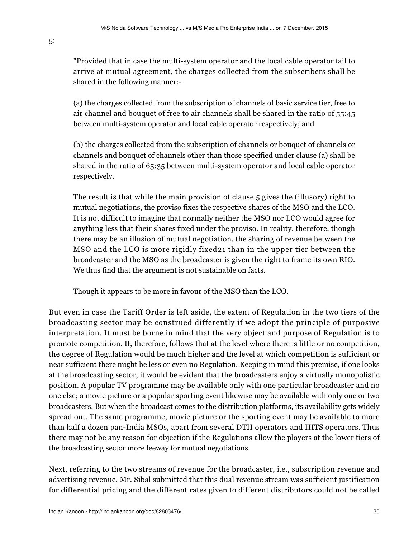"Provided that in case the multi-system operator and the local cable operator fail to arrive at mutual agreement, the charges collected from the subscribers shall be shared in the following manner:-

(a) the charges collected from the subscription of channels of basic service tier, free to air channel and bouquet of free to air channels shall be shared in the ratio of 55:45 between multi-system operator and local cable operator respectively; and

(b) the charges collected from the subscription of channels or bouquet of channels or channels and bouquet of channels other than those specified under clause (a) shall be shared in the ratio of 65:35 between multi-system operator and local cable operator respectively.

The result is that while the main provision of clause 5 gives the (illusory) right to mutual negotiations, the proviso fixes the respective shares of the MSO and the LCO. It is not difficult to imagine that normally neither the MSO nor LCO would agree for anything less that their shares fixed under the proviso. In reality, therefore, though there may be an illusion of mutual negotiation, the sharing of revenue between the MSO and the LCO is more rigidly fixed21 than in the upper tier between the broadcaster and the MSO as the broadcaster is given the right to frame its own RIO. We thus find that the argument is not sustainable on facts.

Though it appears to be more in favour of the MSO than the LCO.

But even in case the Tariff Order is left aside, the extent of Regulation in the two tiers of the broadcasting sector may be construed differently if we adopt the principle of purposive interpretation. It must be borne in mind that the very object and purpose of Regulation is to promote competition. It, therefore, follows that at the level where there is little or no competition, the degree of Regulation would be much higher and the level at which competition is sufficient or near sufficient there might be less or even no Regulation. Keeping in mind this premise, if one looks at the broadcasting sector, it would be evident that the broadcasters enjoy a virtually monopolistic position. A popular TV programme may be available only with one particular broadcaster and no one else; a movie picture or a popular sporting event likewise may be available with only one or two broadcasters. But when the broadcast comes to the distribution platforms, its availability gets widely spread out. The same programme, movie picture or the sporting event may be available to more than half a dozen pan-India MSOs, apart from several DTH operators and HITS operators. Thus there may not be any reason for objection if the Regulations allow the players at the lower tiers of the broadcasting sector more leeway for mutual negotiations.

Next, referring to the two streams of revenue for the broadcaster, i.e., subscription revenue and advertising revenue, Mr. Sibal submitted that this dual revenue stream was sufficient justification for differential pricing and the different rates given to different distributors could not be called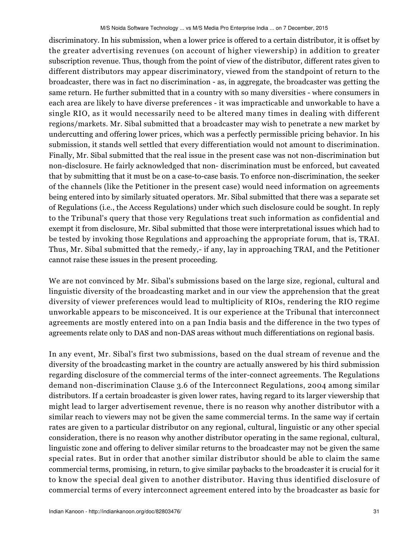discriminatory. In his submission, when a lower price is offered to a certain distributor, it is offset by the greater advertising revenues (on account of higher viewership) in addition to greater subscription revenue. Thus, though from the point of view of the distributor, different rates given to different distributors may appear discriminatory, viewed from the standpoint of return to the broadcaster, there was in fact no discrimination - as, in aggregate, the broadcaster was getting the same return. He further submitted that in a country with so many diversities - where consumers in each area are likely to have diverse preferences - it was impracticable and unworkable to have a single RIO, as it would necessarily need to be altered many times in dealing with different regions/markets. Mr. Sibal submitted that a broadcaster may wish to penetrate a new market by undercutting and offering lower prices, which was a perfectly permissible pricing behavior. In his submission, it stands well settled that every differentiation would not amount to discrimination. Finally, Mr. Sibal submitted that the real issue in the present case was not non-discrimination but non-disclosure. He fairly acknowledged that non- discrimination must be enforced, but caveated that by submitting that it must be on a case-to-case basis. To enforce non-discrimination, the seeker of the channels (like the Petitioner in the present case) would need information on agreements being entered into by similarly situated operators. Mr. Sibal submitted that there was a separate set of Regulations (i.e., the Access Regulations) under which such disclosure could be sought. In reply to the Tribunal's query that those very Regulations treat such information as confidential and exempt it from disclosure, Mr. Sibal submitted that those were interpretational issues which had to be tested by invoking those Regulations and approaching the appropriate forum, that is, TRAI. Thus, Mr. Sibal submitted that the remedy,- if any, lay in approaching TRAI, and the Petitioner cannot raise these issues in the present proceeding.

We are not convinced by Mr. Sibal's submissions based on the large size, regional, cultural and linguistic diversity of the broadcasting market and in our view the apprehension that the great diversity of viewer preferences would lead to multiplicity of RIOs, rendering the RIO regime unworkable appears to be misconceived. It is our experience at the Tribunal that interconnect agreements are mostly entered into on a pan India basis and the difference in the two types of agreements relate only to DAS and non-DAS areas without much differentiations on regional basis.

In any event, Mr. Sibal's first two submissions, based on the dual stream of revenue and the diversity of the broadcasting market in the country are actually answered by his third submission regarding disclosure of the commercial terms of the inter-connect agreements. The Regulations demand non-discrimination Clause 3.6 of the Interconnect Regulations, 2004 among similar distributors. If a certain broadcaster is given lower rates, having regard to its larger viewership that might lead to larger advertisement revenue, there is no reason why another distributor with a similar reach to viewers may not be given the same commercial terms. In the same way if certain rates are given to a particular distributor on any regional, cultural, linguistic or any other special consideration, there is no reason why another distributor operating in the same regional, cultural, linguistic zone and offering to deliver similar returns to the broadcaster may not be given the same special rates. But in order that another similar distributor should be able to claim the same commercial terms, promising, in return, to give similar paybacks to the broadcaster it is crucial for it to know the special deal given to another distributor. Having thus identified disclosure of commercial terms of every interconnect agreement entered into by the broadcaster as basic for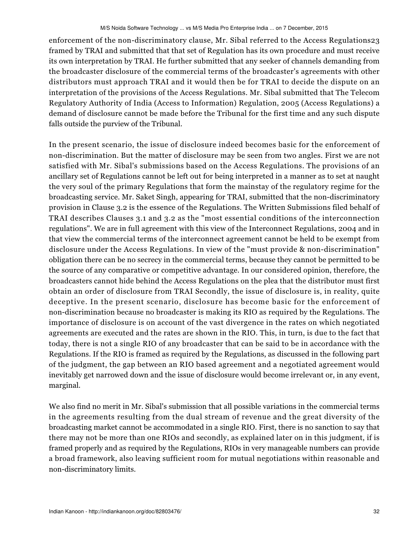enforcement of the non-discriminatory clause, Mr. Sibal referred to the Access Regulations23 framed by TRAI and submitted that that set of Regulation has its own procedure and must receive its own interpretation by TRAI. He further submitted that any seeker of channels demanding from the broadcaster disclosure of the commercial terms of the broadcaster's agreements with other distributors must approach TRAI and it would then be for TRAI to decide the dispute on an interpretation of the provisions of the Access Regulations. Mr. Sibal submitted that The Telecom Regulatory Authority of India (Access to Information) Regulation, 2005 (Access Regulations) a demand of disclosure cannot be made before the Tribunal for the first time and any such dispute falls outside the purview of the Tribunal.

In the present scenario, the issue of disclosure indeed becomes basic for the enforcement of non-discrimination. But the matter of disclosure may be seen from two angles. First we are not satisfied with Mr. Sibal's submissions based on the Access Regulations. The provisions of an ancillary set of Regulations cannot be left out for being interpreted in a manner as to set at naught the very soul of the primary Regulations that form the mainstay of the regulatory regime for the broadcasting service. Mr. Saket Singh, appearing for TRAI, submitted that the non-discriminatory provision in Clause 3.2 is the essence of the Regulations. The Written Submissions filed behalf of TRAI describes Clauses 3.1 and 3.2 as the "most essential conditions of the interconnection regulations". We are in full agreement with this view of the Interconnect Regulations, 2004 and in that view the commercial terms of the interconnect agreement cannot be held to be exempt from disclosure under the Access Regulations. In view of the "must provide & non-discrimination" obligation there can be no secrecy in the commercial terms, because they cannot be permitted to be the source of any comparative or competitive advantage. In our considered opinion, therefore, the broadcasters cannot hide behind the Access Regulations on the plea that the distributor must first obtain an order of disclosure from TRAI Secondly, the issue of disclosure is, in reality, quite deceptive. In the present scenario, disclosure has become basic for the enforcement of non-discrimination because no broadcaster is making its RIO as required by the Regulations. The importance of disclosure is on account of the vast divergence in the rates on which negotiated agreements are executed and the rates are shown in the RIO. This, in turn, is due to the fact that today, there is not a single RIO of any broadcaster that can be said to be in accordance with the Regulations. If the RIO is framed as required by the Regulations, as discussed in the following part of the judgment, the gap between an RIO based agreement and a negotiated agreement would inevitably get narrowed down and the issue of disclosure would become irrelevant or, in any event, marginal.

We also find no merit in Mr. Sibal's submission that all possible variations in the commercial terms in the agreements resulting from the dual stream of revenue and the great diversity of the broadcasting market cannot be accommodated in a single RIO. First, there is no sanction to say that there may not be more than one RIOs and secondly, as explained later on in this judgment, if is framed properly and as required by the Regulations, RIOs in very manageable numbers can provide a broad framework, also leaving sufficient room for mutual negotiations within reasonable and non-discriminatory limits.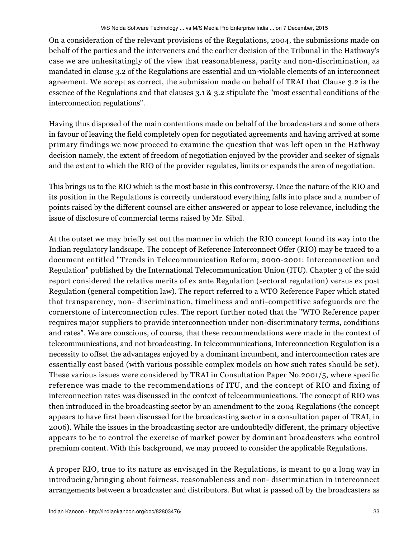On a consideration of the relevant provisions of the Regulations, 2004, the submissions made on behalf of the parties and the interveners and the earlier decision of the Tribunal in the Hathway's case we are unhesitatingly of the view that reasonableness, parity and non-discrimination, as mandated in clause 3.2 of the Regulations are essential and un-violable elements of an interconnect agreement. We accept as correct, the submission made on behalf of TRAI that Clause 3.2 is the essence of the Regulations and that clauses 3.1 & 3.2 stipulate the "most essential conditions of the interconnection regulations".

Having thus disposed of the main contentions made on behalf of the broadcasters and some others in favour of leaving the field completely open for negotiated agreements and having arrived at some primary findings we now proceed to examine the question that was left open in the Hathway decision namely, the extent of freedom of negotiation enjoyed by the provider and seeker of signals and the extent to which the RIO of the provider regulates, limits or expands the area of negotiation.

This brings us to the RIO which is the most basic in this controversy. Once the nature of the RIO and its position in the Regulations is correctly understood everything falls into place and a number of points raised by the different counsel are either answered or appear to lose relevance, including the issue of disclosure of commercial terms raised by Mr. Sibal.

At the outset we may briefly set out the manner in which the RIO concept found its way into the Indian regulatory landscape. The concept of Reference Interconnect Offer (RIO) may be traced to a document entitled "Trends in Telecommunication Reform; 2000-2001: Interconnection and Regulation" published by the International Telecommunication Union (ITU). Chapter 3 of the said report considered the relative merits of ex ante Regulation (sectoral regulation) versus ex post Regulation (general competition law). The report referred to a WTO Reference Paper which stated that transparency, non- discrimination, timeliness and anti-competitive safeguards are the cornerstone of interconnection rules. The report further noted that the "WTO Reference paper requires major suppliers to provide interconnection under non-discriminatory terms, conditions and rates". We are conscious, of course, that these recommendations were made in the context of telecommunications, and not broadcasting. In telecommunications, Interconnection Regulation is a necessity to offset the advantages enjoyed by a dominant incumbent, and interconnection rates are essentially cost based (with various possible complex models on how such rates should be set). These various issues were considered by TRAI in Consultation Paper No.2001/5, where specific reference was made to the recommendations of ITU, and the concept of RIO and fixing of interconnection rates was discussed in the context of telecommunications. The concept of RIO was then introduced in the broadcasting sector by an amendment to the 2004 Regulations (the concept appears to have first been discussed for the broadcasting sector in a consultation paper of TRAI, in 2006). While the issues in the broadcasting sector are undoubtedly different, the primary objective appears to be to control the exercise of market power by dominant broadcasters who control premium content. With this background, we may proceed to consider the applicable Regulations.

A proper RIO, true to its nature as envisaged in the Regulations, is meant to go a long way in introducing/bringing about fairness, reasonableness and non- discrimination in interconnect arrangements between a broadcaster and distributors. But what is passed off by the broadcasters as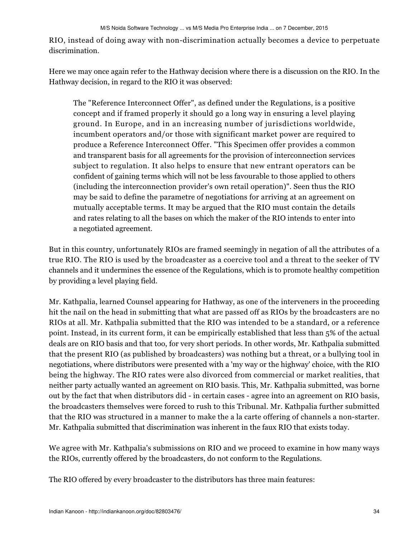RIO, instead of doing away with non-discrimination actually becomes a device to perpetuate discrimination.

Here we may once again refer to the Hathway decision where there is a discussion on the RIO. In the Hathway decision, in regard to the RIO it was observed:

The "Reference Interconnect Offer", as defined under the Regulations, is a positive concept and if framed properly it should go a long way in ensuring a level playing ground. In Europe, and in an increasing number of jurisdictions worldwide, incumbent operators and/or those with significant market power are required to produce a Reference Interconnect Offer. "This Specimen offer provides a common and transparent basis for all agreements for the provision of interconnection services subject to regulation. It also helps to ensure that new entrant operators can be confident of gaining terms which will not be less favourable to those applied to others (including the interconnection provider's own retail operation)". Seen thus the RIO may be said to define the parametre of negotiations for arriving at an agreement on mutually acceptable terms. It may be argued that the RIO must contain the details and rates relating to all the bases on which the maker of the RIO intends to enter into a negotiated agreement.

But in this country, unfortunately RIOs are framed seemingly in negation of all the attributes of a true RIO. The RIO is used by the broadcaster as a coercive tool and a threat to the seeker of TV channels and it undermines the essence of the Regulations, which is to promote healthy competition by providing a level playing field.

Mr. Kathpalia, learned Counsel appearing for Hathway, as one of the interveners in the proceeding hit the nail on the head in submitting that what are passed off as RIOs by the broadcasters are no RIOs at all. Mr. Kathpalia submitted that the RIO was intended to be a standard, or a reference point. Instead, in its current form, it can be empirically established that less than 5% of the actual deals are on RIO basis and that too, for very short periods. In other words, Mr. Kathpalia submitted that the present RIO (as published by broadcasters) was nothing but a threat, or a bullying tool in negotiations, where distributors were presented with a 'my way or the highway' choice, with the RIO being the highway. The RIO rates were also divorced from commercial or market realities, that neither party actually wanted an agreement on RIO basis. This, Mr. Kathpalia submitted, was borne out by the fact that when distributors did - in certain cases - agree into an agreement on RIO basis, the broadcasters themselves were forced to rush to this Tribunal. Mr. Kathpalia further submitted that the RIO was structured in a manner to make the a la carte offering of channels a non-starter. Mr. Kathpalia submitted that discrimination was inherent in the faux RIO that exists today.

We agree with Mr. Kathpalia's submissions on RIO and we proceed to examine in how many ways the RIOs, currently offered by the broadcasters, do not conform to the Regulations.

The RIO offered by every broadcaster to the distributors has three main features: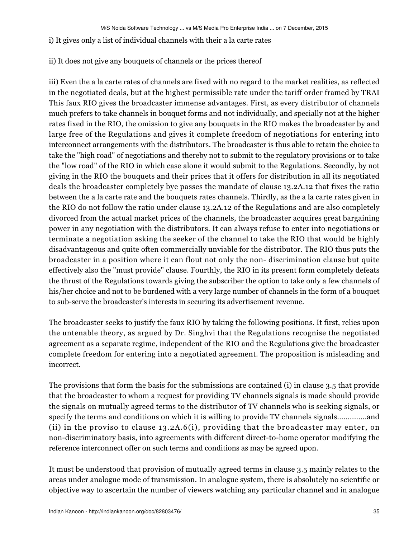#### i) It gives only a list of individual channels with their a la carte rates

### ii) It does not give any bouquets of channels or the prices thereof

iii) Even the a la carte rates of channels are fixed with no regard to the market realities, as reflected in the negotiated deals, but at the highest permissible rate under the tariff order framed by TRAI This faux RIO gives the broadcaster immense advantages. First, as every distributor of channels much prefers to take channels in bouquet forms and not individually, and specially not at the higher rates fixed in the RIO, the omission to give any bouquets in the RIO makes the broadcaster by and large free of the Regulations and gives it complete freedom of negotiations for entering into interconnect arrangements with the distributors. The broadcaster is thus able to retain the choice to take the "high road" of negotiations and thereby not to submit to the regulatory provisions or to take the "low road" of the RIO in which case alone it would submit to the Regulations. Secondly, by not giving in the RIO the bouquets and their prices that it offers for distribution in all its negotiated deals the broadcaster completely bye passes the mandate of clause 13.2A.12 that fixes the ratio between the a la carte rate and the bouquets rates channels. Thirdly, as the a la carte rates given in the RIO do not follow the ratio under clause 13.2A.12 of the Regulations and are also completely divorced from the actual market prices of the channels, the broadcaster acquires great bargaining power in any negotiation with the distributors. It can always refuse to enter into negotiations or terminate a negotiation asking the seeker of the channel to take the RIO that would be highly disadvantageous and quite often commercially unviable for the distributor. The RIO thus puts the broadcaster in a position where it can flout not only the non- discrimination clause but quite effectively also the "must provide" clause. Fourthly, the RIO in its present form completely defeats the thrust of the Regulations towards giving the subscriber the option to take only a few channels of his/her choice and not to be burdened with a very large number of channels in the form of a bouquet to sub-serve the broadcaster's interests in securing its advertisement revenue.

The broadcaster seeks to justify the faux RIO by taking the following positions. It first, relies upon the untenable theory, as argued by Dr. Singhvi that the Regulations recognise the negotiated agreement as a separate regime, independent of the RIO and the Regulations give the broadcaster complete freedom for entering into a negotiated agreement. The proposition is misleading and incorrect.

The provisions that form the basis for the submissions are contained (i) in clause 3.5 that provide that the broadcaster to whom a request for providing TV channels signals is made should provide the signals on mutually agreed terms to the distributor of TV channels who is seeking signals, or specify the terms and conditions on which it is willing to provide TV channels signals..............and (ii) in the proviso to clause 13.2A.6(i), providing that the broadcaster may enter, on non-discriminatory basis, into agreements with different direct-to-home operator modifying the reference interconnect offer on such terms and conditions as may be agreed upon.

It must be understood that provision of mutually agreed terms in clause 3.5 mainly relates to the areas under analogue mode of transmission. In analogue system, there is absolutely no scientific or objective way to ascertain the number of viewers watching any particular channel and in analogue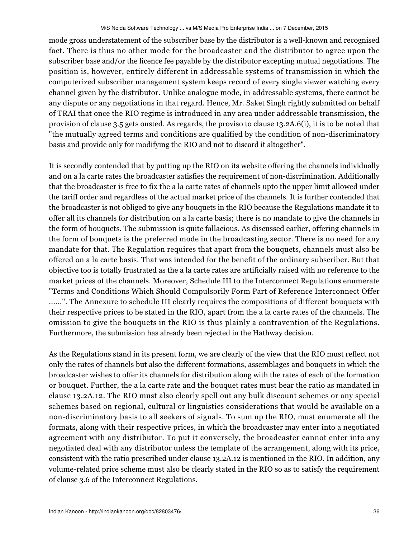mode gross understatement of the subscriber base by the distributor is a well-known and recognised fact. There is thus no other mode for the broadcaster and the distributor to agree upon the subscriber base and/or the licence fee payable by the distributor excepting mutual negotiations. The position is, however, entirely different in addressable systems of transmission in which the computerized subscriber management system keeps record of every single viewer watching every channel given by the distributor. Unlike analogue mode, in addressable systems, there cannot be any dispute or any negotiations in that regard. Hence, Mr. Saket Singh rightly submitted on behalf of TRAI that once the RIO regime is introduced in any area under addressable transmission, the provision of clause 3.5 gets ousted. As regards, the proviso to clause 13.2A.6(i), it is to be noted that "the mutually agreed terms and conditions are qualified by the condition of non-discriminatory basis and provide only for modifying the RIO and not to discard it altogether".

It is secondly contended that by putting up the RIO on its website offering the channels individually and on a la carte rates the broadcaster satisfies the requirement of non-discrimination. Additionally that the broadcaster is free to fix the a la carte rates of channels upto the upper limit allowed under the tariff order and regardless of the actual market price of the channels. It is further contended that the broadcaster is not obliged to give any bouquets in the RIO because the Regulations mandate it to offer all its channels for distribution on a la carte basis; there is no mandate to give the channels in the form of bouquets. The submission is quite fallacious. As discussed earlier, offering channels in the form of bouquets is the preferred mode in the broadcasting sector. There is no need for any mandate for that. The Regulation requires that apart from the bouquets, channels must also be offered on a la carte basis. That was intended for the benefit of the ordinary subscriber. But that objective too is totally frustrated as the a la carte rates are artificially raised with no reference to the market prices of the channels. Moreover, Schedule III to the Interconnect Regulations enumerate "Terms and Conditions Which Should Compulsorily Form Part of Reference Interconnect Offer ......". The Annexure to schedule III clearly requires the compositions of different bouquets with their respective prices to be stated in the RIO, apart from the a la carte rates of the channels. The omission to give the bouquets in the RIO is thus plainly a contravention of the Regulations. Furthermore, the submission has already been rejected in the Hathway decision.

As the Regulations stand in its present form, we are clearly of the view that the RIO must reflect not only the rates of channels but also the different formations, assemblages and bouquets in which the broadcaster wishes to offer its channels for distribution along with the rates of each of the formation or bouquet. Further, the a la carte rate and the bouquet rates must bear the ratio as mandated in clause 13.2A.12. The RIO must also clearly spell out any bulk discount schemes or any special schemes based on regional, cultural or linguistics considerations that would be available on a non-discriminatory basis to all seekers of signals. To sum up the RIO, must enumerate all the formats, along with their respective prices, in which the broadcaster may enter into a negotiated agreement with any distributor. To put it conversely, the broadcaster cannot enter into any negotiated deal with any distributor unless the template of the arrangement, along with its price, consistent with the ratio prescribed under clause 13.2A.12 is mentioned in the RIO. In addition, any volume-related price scheme must also be clearly stated in the RIO so as to satisfy the requirement of clause 3.6 of the Interconnect Regulations.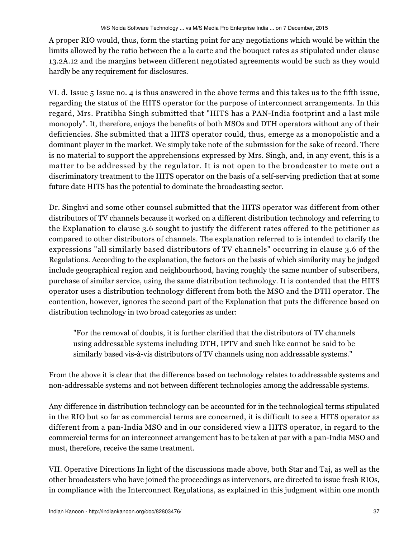A proper RIO would, thus, form the starting point for any negotiations which would be within the limits allowed by the ratio between the a la carte and the bouquet rates as stipulated under clause 13.2A.12 and the margins between different negotiated agreements would be such as they would hardly be any requirement for disclosures.

VI. d. Issue 5 Issue no. 4 is thus answered in the above terms and this takes us to the fifth issue, regarding the status of the HITS operator for the purpose of interconnect arrangements. In this regard, Mrs. Pratibha Singh submitted that "HITS has a PAN-India footprint and a last mile monopoly". It, therefore, enjoys the benefits of both MSOs and DTH operators without any of their deficiencies. She submitted that a HITS operator could, thus, emerge as a monopolistic and a dominant player in the market. We simply take note of the submission for the sake of record. There is no material to support the apprehensions expressed by Mrs. Singh, and, in any event, this is a matter to be addressed by the regulator. It is not open to the broadcaster to mete out a discriminatory treatment to the HITS operator on the basis of a self-serving prediction that at some future date HITS has the potential to dominate the broadcasting sector.

Dr. Singhvi and some other counsel submitted that the HITS operator was different from other distributors of TV channels because it worked on a different distribution technology and referring to the Explanation to clause 3.6 sought to justify the different rates offered to the petitioner as compared to other distributors of channels. The explanation referred to is intended to clarify the expressions "all similarly based distributors of TV channels" occurring in clause 3.6 of the Regulations. According to the explanation, the factors on the basis of which similarity may be judged include geographical region and neighbourhood, having roughly the same number of subscribers, purchase of similar service, using the same distribution technology. It is contended that the HITS operator uses a distribution technology different from both the MSO and the DTH operator. The contention, however, ignores the second part of the Explanation that puts the difference based on distribution technology in two broad categories as under:

"For the removal of doubts, it is further clarified that the distributors of TV channels using addressable systems including DTH, IPTV and such like cannot be said to be similarly based vis-à-vis distributors of TV channels using non addressable systems."

From the above it is clear that the difference based on technology relates to addressable systems and non-addressable systems and not between different technologies among the addressable systems.

Any difference in distribution technology can be accounted for in the technological terms stipulated in the RIO but so far as commercial terms are concerned, it is difficult to see a HITS operator as different from a pan-India MSO and in our considered view a HITS operator, in regard to the commercial terms for an interconnect arrangement has to be taken at par with a pan-India MSO and must, therefore, receive the same treatment.

VII. Operative Directions In light of the discussions made above, both Star and Taj, as well as the other broadcasters who have joined the proceedings as intervenors, are directed to issue fresh RIOs, in compliance with the Interconnect Regulations, as explained in this judgment within one month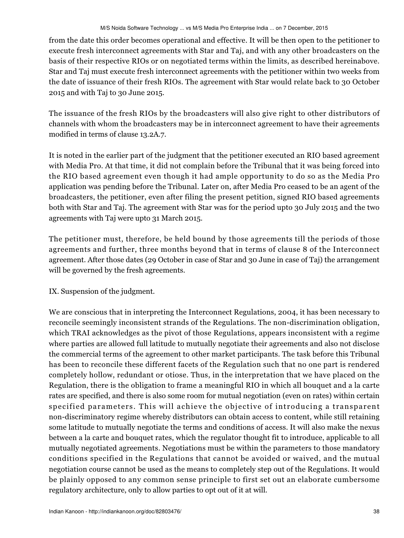from the date this order becomes operational and effective. It will be then open to the petitioner to execute fresh interconnect agreements with Star and Taj, and with any other broadcasters on the basis of their respective RIOs or on negotiated terms within the limits, as described hereinabove. Star and Taj must execute fresh interconnect agreements with the petitioner within two weeks from the date of issuance of their fresh RIOs. The agreement with Star would relate back to 30 October 2015 and with Taj to 30 June 2015.

The issuance of the fresh RIOs by the broadcasters will also give right to other distributors of channels with whom the broadcasters may be in interconnect agreement to have their agreements modified in terms of clause 13.2A.7.

It is noted in the earlier part of the judgment that the petitioner executed an RIO based agreement with Media Pro. At that time, it did not complain before the Tribunal that it was being forced into the RIO based agreement even though it had ample opportunity to do so as the Media Pro application was pending before the Tribunal. Later on, after Media Pro ceased to be an agent of the broadcasters, the petitioner, even after filing the present petition, signed RIO based agreements both with Star and Taj. The agreement with Star was for the period upto 30 July 2015 and the two agreements with Taj were upto 31 March 2015.

The petitioner must, therefore, be held bound by those agreements till the periods of those agreements and further, three months beyond that in terms of clause 8 of the Interconnect agreement. After those dates (29 October in case of Star and 30 June in case of Taj) the arrangement will be governed by the fresh agreements.

IX. Suspension of the judgment.

We are conscious that in interpreting the Interconnect Regulations, 2004, it has been necessary to reconcile seemingly inconsistent strands of the Regulations. The non-discrimination obligation, which TRAI acknowledges as the pivot of those Regulations, appears inconsistent with a regime where parties are allowed full latitude to mutually negotiate their agreements and also not disclose the commercial terms of the agreement to other market participants. The task before this Tribunal has been to reconcile these different facets of the Regulation such that no one part is rendered completely hollow, redundant or otiose. Thus, in the interpretation that we have placed on the Regulation, there is the obligation to frame a meaningful RIO in which all bouquet and a la carte rates are specified, and there is also some room for mutual negotiation (even on rates) within certain specified parameters. This will achieve the objective of introducing a transparent non-discriminatory regime whereby distributors can obtain access to content, while still retaining some latitude to mutually negotiate the terms and conditions of access. It will also make the nexus between a la carte and bouquet rates, which the regulator thought fit to introduce, applicable to all mutually negotiated agreements. Negotiations must be within the parameters to those mandatory conditions specified in the Regulations that cannot be avoided or waived, and the mutual negotiation course cannot be used as the means to completely step out of the Regulations. It would be plainly opposed to any common sense principle to first set out an elaborate cumbersome regulatory architecture, only to allow parties to opt out of it at will.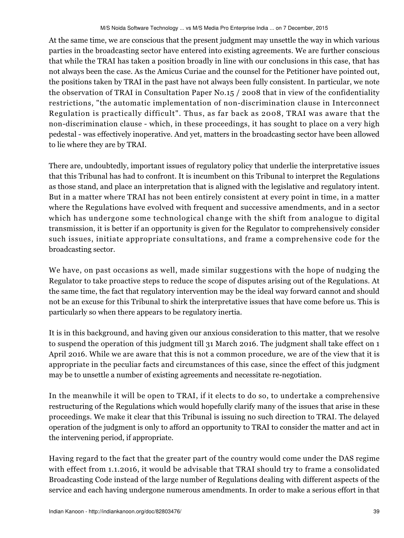At the same time, we are conscious that the present judgment may unsettle the way in which various parties in the broadcasting sector have entered into existing agreements. We are further conscious that while the TRAI has taken a position broadly in line with our conclusions in this case, that has not always been the case. As the Amicus Curiae and the counsel for the Petitioner have pointed out, the positions taken by TRAI in the past have not always been fully consistent. In particular, we note the observation of TRAI in Consultation Paper No.15 / 2008 that in view of the confidentiality restrictions, "the automatic implementation of non-discrimination clause in Interconnect Regulation is practically difficult". Thus, as far back as 2008, TRAI was aware that the non-discrimination clause - which, in these proceedings, it has sought to place on a very high pedestal - was effectively inoperative. And yet, matters in the broadcasting sector have been allowed to lie where they are by TRAI.

There are, undoubtedly, important issues of regulatory policy that underlie the interpretative issues that this Tribunal has had to confront. It is incumbent on this Tribunal to interpret the Regulations as those stand, and place an interpretation that is aligned with the legislative and regulatory intent. But in a matter where TRAI has not been entirely consistent at every point in time, in a matter where the Regulations have evolved with frequent and successive amendments, and in a sector which has undergone some technological change with the shift from analogue to digital transmission, it is better if an opportunity is given for the Regulator to comprehensively consider such issues, initiate appropriate consultations, and frame a comprehensive code for the broadcasting sector.

We have, on past occasions as well, made similar suggestions with the hope of nudging the Regulator to take proactive steps to reduce the scope of disputes arising out of the Regulations. At the same time, the fact that regulatory intervention may be the ideal way forward cannot and should not be an excuse for this Tribunal to shirk the interpretative issues that have come before us. This is particularly so when there appears to be regulatory inertia.

It is in this background, and having given our anxious consideration to this matter, that we resolve to suspend the operation of this judgment till 31 March 2016. The judgment shall take effect on 1 April 2016. While we are aware that this is not a common procedure, we are of the view that it is appropriate in the peculiar facts and circumstances of this case, since the effect of this judgment may be to unsettle a number of existing agreements and necessitate re-negotiation.

In the meanwhile it will be open to TRAI, if it elects to do so, to undertake a comprehensive restructuring of the Regulations which would hopefully clarify many of the issues that arise in these proceedings. We make it clear that this Tribunal is issuing no such direction to TRAI. The delayed operation of the judgment is only to afford an opportunity to TRAI to consider the matter and act in the intervening period, if appropriate.

Having regard to the fact that the greater part of the country would come under the DAS regime with effect from 1.1.2016, it would be advisable that TRAI should try to frame a consolidated Broadcasting Code instead of the large number of Regulations dealing with different aspects of the service and each having undergone numerous amendments. In order to make a serious effort in that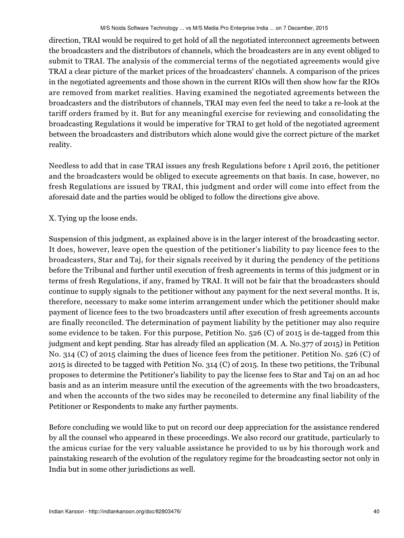direction, TRAI would be required to get hold of all the negotiated interconnect agreements between the broadcasters and the distributors of channels, which the broadcasters are in any event obliged to submit to TRAI. The analysis of the commercial terms of the negotiated agreements would give TRAI a clear picture of the market prices of the broadcasters' channels. A comparison of the prices in the negotiated agreements and those shown in the current RIOs will then show how far the RIOs are removed from market realities. Having examined the negotiated agreements between the broadcasters and the distributors of channels, TRAI may even feel the need to take a re-look at the tariff orders framed by it. But for any meaningful exercise for reviewing and consolidating the broadcasting Regulations it would be imperative for TRAI to get hold of the negotiated agreement between the broadcasters and distributors which alone would give the correct picture of the market reality.

Needless to add that in case TRAI issues any fresh Regulations before 1 April 2016, the petitioner and the broadcasters would be obliged to execute agreements on that basis. In case, however, no fresh Regulations are issued by TRAI, this judgment and order will come into effect from the aforesaid date and the parties would be obliged to follow the directions give above.

X. Tying up the loose ends.

Suspension of this judgment, as explained above is in the larger interest of the broadcasting sector. It does, however, leave open the question of the petitioner's liability to pay licence fees to the broadcasters, Star and Taj, for their signals received by it during the pendency of the petitions before the Tribunal and further until execution of fresh agreements in terms of this judgment or in terms of fresh Regulations, if any, framed by TRAI. It will not be fair that the broadcasters should continue to supply signals to the petitioner without any payment for the next several months. It is, therefore, necessary to make some interim arrangement under which the petitioner should make payment of licence fees to the two broadcasters until after execution of fresh agreements accounts are finally reconciled. The determination of payment liability by the petitioner may also require some evidence to be taken. For this purpose, Petition No. 526 (C) of 2015 is de-tagged from this judgment and kept pending. Star has already filed an application (M. A. No.377 of 2015) in Petition No. 314 (C) of 2015 claiming the dues of licence fees from the petitioner. Petition No. 526 (C) of 2015 is directed to be tagged with Petition No. 314 (C) of 2015. In these two petitions, the Tribunal proposes to determine the Petitioner's liability to pay the license fees to Star and Taj on an ad hoc basis and as an interim measure until the execution of the agreements with the two broadcasters, and when the accounts of the two sides may be reconciled to determine any final liability of the Petitioner or Respondents to make any further payments.

Before concluding we would like to put on record our deep appreciation for the assistance rendered by all the counsel who appeared in these proceedings. We also record our gratitude, particularly to the amicus curiae for the very valuable assistance he provided to us by his thorough work and painstaking research of the evolution of the regulatory regime for the broadcasting sector not only in India but in some other jurisdictions as well.